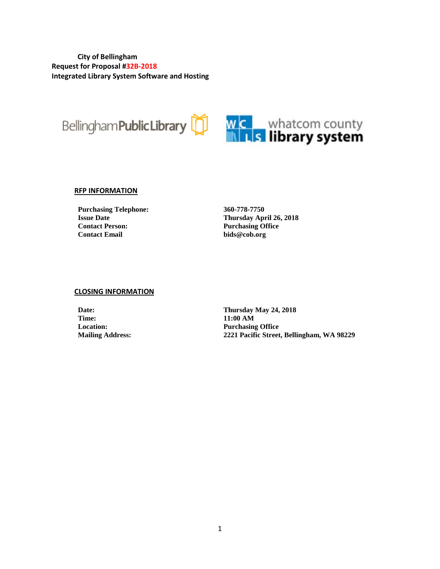**City of Bellingham Request for Proposal #32B-2018 Integrated Library System Software and Hosting**



#### **RFP INFORMATION**

**Purchasing Telephone: 360-778-7750 Contact Person: Purchasing Office**

**Issue Date Thursday April 26, 2018**  $bids@cob.org$ 

#### **CLOSING INFORMATION**

**Time: 11:00 AM**

**Date: Thursday May 24, 2018 Location: Purchasing Office Mailing Address: 2221 Pacific Street, Bellingham, WA 98229**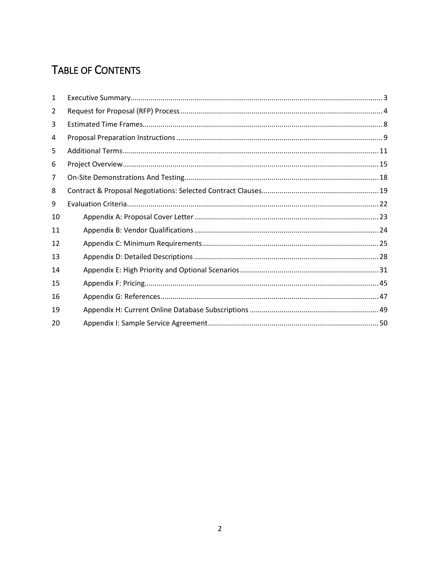# **TABLE OF CONTENTS**

| 1  |  |
|----|--|
| 2  |  |
| 3  |  |
| 4  |  |
| 5  |  |
| 6  |  |
| 7  |  |
| 8  |  |
| 9  |  |
| 10 |  |
| 11 |  |
| 12 |  |
| 13 |  |
| 14 |  |
| 15 |  |
| 16 |  |
| 19 |  |
| 20 |  |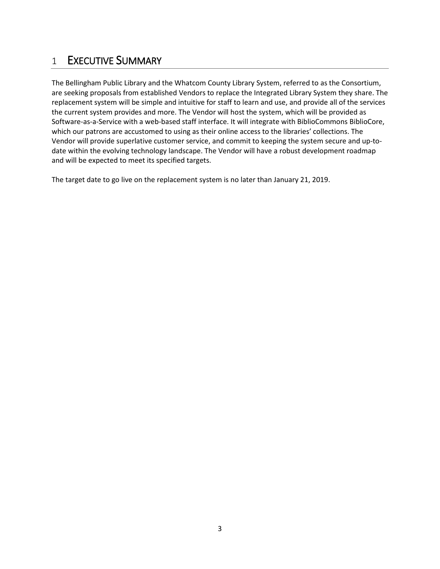# <span id="page-2-0"></span>1 EXECUTIVE SUMMARY

The Bellingham Public Library and the Whatcom County Library System, referred to as the Consortium, are seeking proposals from established Vendors to replace the Integrated Library System they share. The replacement system will be simple and intuitive for staff to learn and use, and provide all of the services the current system provides and more. The Vendor will host the system, which will be provided as Software-as-a-Service with a web-based staff interface. It will integrate with BiblioCommons BiblioCore, which our patrons are accustomed to using as their online access to the libraries' collections. The Vendor will provide superlative customer service, and commit to keeping the system secure and up-todate within the evolving technology landscape. The Vendor will have a robust development roadmap and will be expected to meet its specified targets.

The target date to go live on the replacement system is no later than January 21, 2019.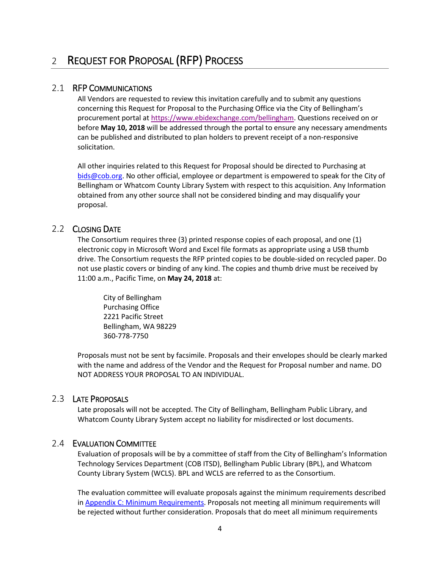## <span id="page-3-0"></span>2.1 RFP COMMUNICATIONS

All Vendors are requested to review this invitation carefully and to submit any questions concerning this Request for Proposal to the Purchasing Office via the City of Bellingham's procurement portal at [https://www.ebidexchange.com/bellingham.](https://www.ebidexchange.com/bellingham) Questions received on or before **May 10, 2018** will be addressed through the portal to ensure any necessary amendments can be published and distributed to plan holders to prevent receipt of a non-responsive solicitation.

All other inquiries related to this Request for Proposal should be directed to Purchasing at [bids@cob.org.](mailto:bids@cob.org) No other official, employee or department is empowered to speak for the City of Bellingham or Whatcom County Library System with respect to this acquisition. Any Information obtained from any other source shall not be considered binding and may disqualify your proposal.

## 2.2 CLOSING DATE

The Consortium requires three (3) printed response copies of each proposal, and one (1) electronic copy in Microsoft Word and Excel file formats as appropriate using a USB thumb drive. The Consortium requests the RFP printed copies to be double-sided on recycled paper. Do not use plastic covers or binding of any kind. The copies and thumb drive must be received by 11:00 a.m., Pacific Time, on **May 24, 2018** at:

City of Bellingham Purchasing Office 2221 Pacific Street Bellingham, WA 98229 360-778-7750

Proposals must not be sent by facsimile. Proposals and their envelopes should be clearly marked with the name and address of the Vendor and the Request for Proposal number and name. DO NOT ADDRESS YOUR PROPOSAL TO AN INDIVIDUAL.

### 2.3 LATE PROPOSALS

Late proposals will not be accepted. The City of Bellingham, Bellingham Public Library, and Whatcom County Library System accept no liability for misdirected or lost documents.

## 2.4 EVALUATION COMMITTEE

Evaluation of proposals will be by a committee of staff from the City of Bellingham's Information Technology Services Department (COB ITSD), Bellingham Public Library (BPL), and Whatcom County Library System (WCLS). BPL and WCLS are referred to as the Consortium.

The evaluation committee will evaluate proposals against the minimum requirements described in [Appendix C: Minimum Requirements.](#page-24-0) Proposals not meeting all minimum requirements will be rejected without further consideration. Proposals that do meet all minimum requirements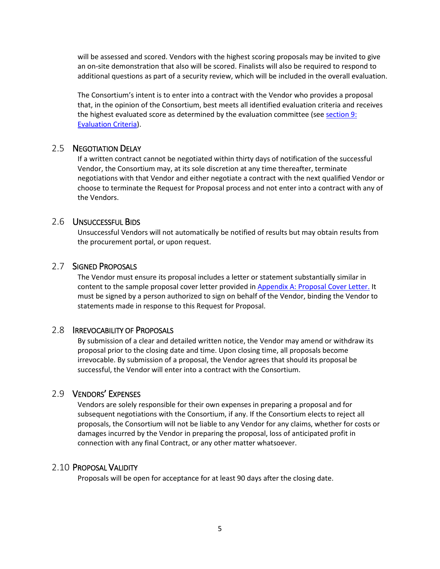will be assessed and scored. Vendors with the highest scoring proposals may be invited to give an on-site demonstration that also will be scored. Finalists will also be required to respond to additional questions as part of a security review, which will be included in the overall evaluation.

The Consortium's intent is to enter into a contract with the Vendor who provides a proposal that, in the opinion of the Consortium, best meets all identified evaluation criteria and receives the highest evaluated score as determined by the evaluation committee (se[e section 9:](#page-21-0)  [Evaluation Criteria\)](#page-21-0).

### 2.5 NEGOTIATION DELAY

If a written contract cannot be negotiated within thirty days of notification of the successful Vendor, the Consortium may, at its sole discretion at any time thereafter, terminate negotiations with that Vendor and either negotiate a contract with the next qualified Vendor or choose to terminate the Request for Proposal process and not enter into a contract with any of the Vendors.

### 2.6 UNSUCCESSFUL BIDS

Unsuccessful Vendors will not automatically be notified of results but may obtain results from the procurement portal, or upon request.

### 2.7 SIGNED PROPOSALS

The Vendor must ensure its proposal includes a letter or statement substantially similar in content to the sample proposal cover letter provided i[n Appendix A: Proposal Cover](#page-22-0) Letter. It must be signed by a person authorized to sign on behalf of the Vendor, binding the Vendor to statements made in response to this Request for Proposal.

### 2.8 IRREVOCABILITY OF PROPOSALS

By submission of a clear and detailed written notice, the Vendor may amend or withdraw its proposal prior to the closing date and time. Upon closing time, all proposals become irrevocable. By submission of a proposal, the Vendor agrees that should its proposal be successful, the Vendor will enter into a contract with the Consortium.

## 2.9 VENDORS' EXPENSES

Vendors are solely responsible for their own expenses in preparing a proposal and for subsequent negotiations with the Consortium, if any. If the Consortium elects to reject all proposals, the Consortium will not be liable to any Vendor for any claims, whether for costs or damages incurred by the Vendor in preparing the proposal, loss of anticipated profit in connection with any final Contract, or any other matter whatsoever.

### 2.10 PROPOSAL VALIDITY

Proposals will be open for acceptance for at least 90 days after the closing date.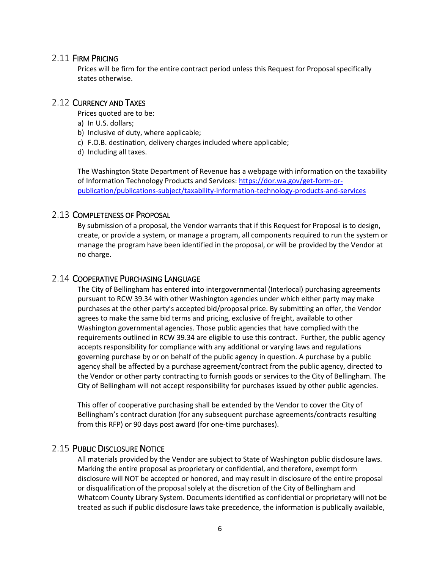### 2.11 FIRM PRICING

Prices will be firm for the entire contract period unless this Request for Proposal specifically states otherwise.

### 2.12 CURRENCY AND TAXES

Prices quoted are to be:

- a) In U.S. dollars;
- b) Inclusive of duty, where applicable;
- c) F.O.B. destination, delivery charges included where applicable;
- d) Including all taxes.

The Washington State Department of Revenue has a webpage with information on the taxability of Information Technology Products and Services: [https://dor.wa.gov/get-form-or](https://dor.wa.gov/get-form-or-publication/publications-subject/taxability-information-technology-products-and-services)[publication/publications-subject/taxability-information-technology-products-and-services](https://dor.wa.gov/get-form-or-publication/publications-subject/taxability-information-technology-products-and-services)

### 2.13 COMPLETENESS OF PROPOSAL

By submission of a proposal, the Vendor warrants that if this Request for Proposal is to design, create, or provide a system, or manage a program, all components required to run the system or manage the program have been identified in the proposal, or will be provided by the Vendor at no charge.

## 2.14 COOPERATIVE PURCHASING LANGUAGE

The City of Bellingham has entered into intergovernmental (Interlocal) purchasing agreements pursuant to RCW 39.34 with other Washington agencies under which either party may make purchases at the other party's accepted bid/proposal price. By submitting an offer, the Vendor agrees to make the same bid terms and pricing, exclusive of freight, available to other Washington governmental agencies. Those public agencies that have complied with the requirements outlined in RCW 39.34 are eligible to use this contract. Further, the public agency accepts responsibility for compliance with any additional or varying laws and regulations governing purchase by or on behalf of the public agency in question. A purchase by a public agency shall be affected by a purchase agreement/contract from the public agency, directed to the Vendor or other party contracting to furnish goods or services to the City of Bellingham. The City of Bellingham will not accept responsibility for purchases issued by other public agencies.

This offer of cooperative purchasing shall be extended by the Vendor to cover the City of Bellingham's contract duration (for any subsequent purchase agreements/contracts resulting from this RFP) or 90 days post award (for one-time purchases).

### 2.15 PUBLIC DISCLOSURE NOTICE

All materials provided by the Vendor are subject to State of Washington public disclosure laws. Marking the entire proposal as proprietary or confidential, and therefore, exempt form disclosure will NOT be accepted or honored, and may result in disclosure of the entire proposal or disqualification of the proposal solely at the discretion of the City of Bellingham and Whatcom County Library System. Documents identified as confidential or proprietary will not be treated as such if public disclosure laws take precedence, the information is publically available,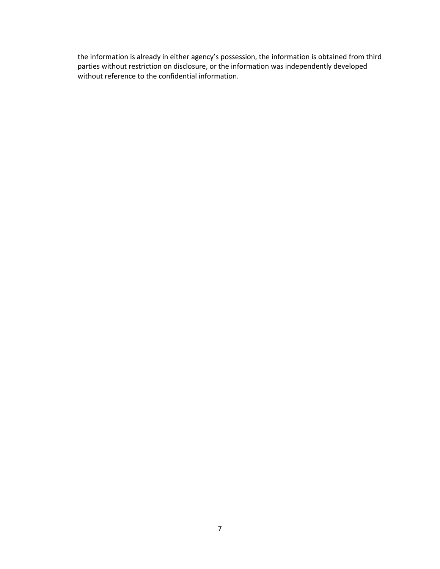the information is already in either agency's possession, the information is obtained from third parties without restriction on disclosure, or the information was independently developed without reference to the confidential information.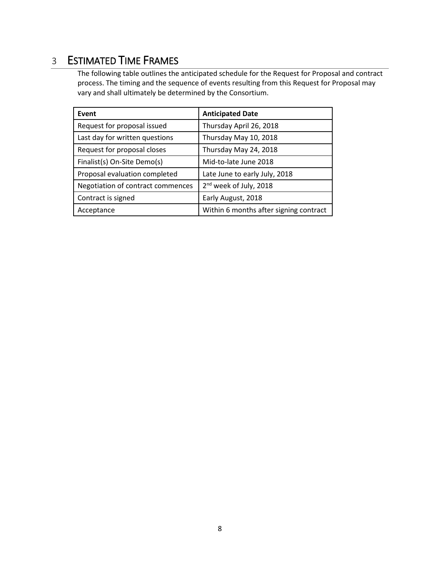# <span id="page-7-0"></span>3 ESTIMATED TIME FRAMES

The following table outlines the anticipated schedule for the Request for Proposal and contract process. The timing and the sequence of events resulting from this Request for Proposal may vary and shall ultimately be determined by the Consortium.

| Event                             | <b>Anticipated Date</b>                |  |  |
|-----------------------------------|----------------------------------------|--|--|
| Request for proposal issued       | Thursday April 26, 2018                |  |  |
| Last day for written questions    | Thursday May 10, 2018                  |  |  |
| Request for proposal closes       | Thursday May 24, 2018                  |  |  |
| Finalist(s) On-Site Demo(s)       | Mid-to-late June 2018                  |  |  |
| Proposal evaluation completed     | Late June to early July, 2018          |  |  |
| Negotiation of contract commences | 2 <sup>nd</sup> week of July, 2018     |  |  |
| Contract is signed                | Early August, 2018                     |  |  |
| Acceptance                        | Within 6 months after signing contract |  |  |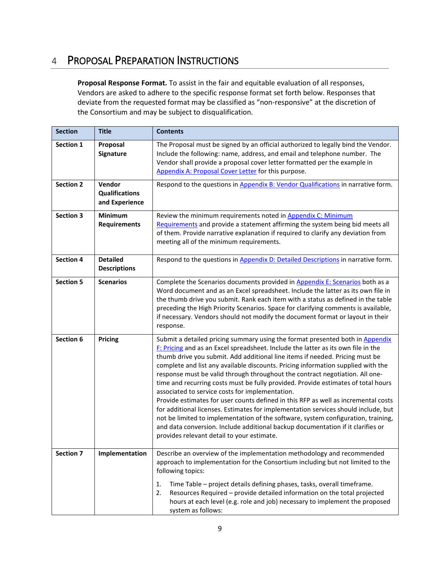# <span id="page-8-0"></span>4 PROPOSAL PREPARATION INSTRUCTIONS

**Proposal Response Format.** To assist in the fair and equitable evaluation of all responses, Vendors are asked to adhere to the specific response format set forth below. Responses that deviate from the requested format may be classified as "non-responsive" at the discretion of the Consortium and may be subject to disqualification.

| <b>Section</b>   | <b>Title</b>                                      | <b>Contents</b>                                                                                                                                                                                                                                                                                                                                                                                                                                                                                                                                                                                                                                                                                                                                                                                                                                                                                                                                                  |
|------------------|---------------------------------------------------|------------------------------------------------------------------------------------------------------------------------------------------------------------------------------------------------------------------------------------------------------------------------------------------------------------------------------------------------------------------------------------------------------------------------------------------------------------------------------------------------------------------------------------------------------------------------------------------------------------------------------------------------------------------------------------------------------------------------------------------------------------------------------------------------------------------------------------------------------------------------------------------------------------------------------------------------------------------|
| Section 1        | Proposal<br>Signature                             | The Proposal must be signed by an official authorized to legally bind the Vendor.<br>Include the following: name, address, and email and telephone number. The<br>Vendor shall provide a proposal cover letter formatted per the example in<br>Appendix A: Proposal Cover Letter for this purpose.                                                                                                                                                                                                                                                                                                                                                                                                                                                                                                                                                                                                                                                               |
| <b>Section 2</b> | Vendor<br><b>Qualifications</b><br>and Experience | Respond to the questions in Appendix B: Vendor Qualifications in narrative form.                                                                                                                                                                                                                                                                                                                                                                                                                                                                                                                                                                                                                                                                                                                                                                                                                                                                                 |
| <b>Section 3</b> | <b>Minimum</b><br><b>Requirements</b>             | Review the minimum requirements noted in Appendix C: Minimum<br>Requirements and provide a statement affirming the system being bid meets all<br>of them. Provide narrative explanation if required to clarify any deviation from<br>meeting all of the minimum requirements.                                                                                                                                                                                                                                                                                                                                                                                                                                                                                                                                                                                                                                                                                    |
| <b>Section 4</b> | <b>Detailed</b><br><b>Descriptions</b>            | Respond to the questions in Appendix D: Detailed Descriptions in narrative form.                                                                                                                                                                                                                                                                                                                                                                                                                                                                                                                                                                                                                                                                                                                                                                                                                                                                                 |
| <b>Section 5</b> | <b>Scenarios</b>                                  | Complete the Scenarios documents provided in Appendix E: Scenarios both as a<br>Word document and as an Excel spreadsheet. Include the latter as its own file in<br>the thumb drive you submit. Rank each item with a status as defined in the table<br>preceding the High Priority Scenarios. Space for clarifying comments is available,<br>if necessary. Vendors should not modify the document format or layout in their<br>response.                                                                                                                                                                                                                                                                                                                                                                                                                                                                                                                        |
| Section 6        | Pricing                                           | Submit a detailed pricing summary using the format presented both in Appendix<br>F: Pricing and as an Excel spreadsheet. Include the latter as its own file in the<br>thumb drive you submit. Add additional line items if needed. Pricing must be<br>complete and list any available discounts. Pricing information supplied with the<br>response must be valid through throughout the contract negotiation. All one-<br>time and recurring costs must be fully provided. Provide estimates of total hours<br>associated to service costs for implementation.<br>Provide estimates for user counts defined in this RFP as well as incremental costs<br>for additional licenses. Estimates for implementation services should include, but<br>not be limited to implementation of the software, system configuration, training,<br>and data conversion. Include additional backup documentation if it clarifies or<br>provides relevant detail to your estimate. |
| <b>Section 7</b> | Implementation                                    | Describe an overview of the implementation methodology and recommended<br>approach to implementation for the Consortium including but not limited to the<br>following topics:                                                                                                                                                                                                                                                                                                                                                                                                                                                                                                                                                                                                                                                                                                                                                                                    |
|                  |                                                   | Time Table - project details defining phases, tasks, overall timeframe.<br>1.<br>2.<br>Resources Required - provide detailed information on the total projected<br>hours at each level (e.g. role and job) necessary to implement the proposed<br>system as follows:                                                                                                                                                                                                                                                                                                                                                                                                                                                                                                                                                                                                                                                                                             |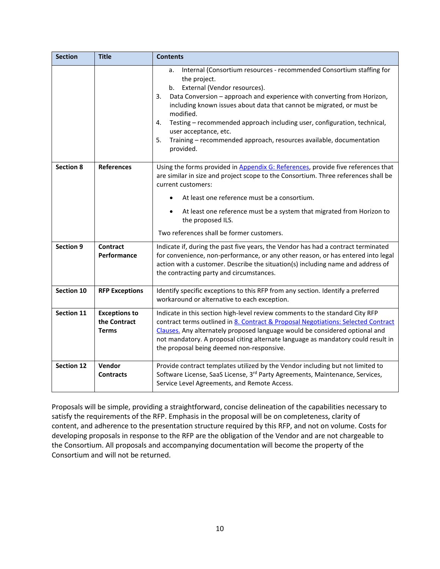| <b>Section</b>    | <b>Title</b>                                         | <b>Contents</b>                                                                                                                                                                                                                                                                                                                                                                                                                                                                                           |  |  |  |
|-------------------|------------------------------------------------------|-----------------------------------------------------------------------------------------------------------------------------------------------------------------------------------------------------------------------------------------------------------------------------------------------------------------------------------------------------------------------------------------------------------------------------------------------------------------------------------------------------------|--|--|--|
|                   |                                                      | Internal (Consortium resources - recommended Consortium staffing for<br>a.<br>the project.<br>b. External (Vendor resources).<br>3.<br>Data Conversion - approach and experience with converting from Horizon,<br>including known issues about data that cannot be migrated, or must be<br>modified.<br>Testing - recommended approach including user, configuration, technical,<br>4.<br>user acceptance, etc.<br>Training - recommended approach, resources available, documentation<br>5.<br>provided. |  |  |  |
| <b>Section 8</b>  | <b>References</b>                                    | Using the forms provided in Appendix G: References, provide five references that<br>are similar in size and project scope to the Consortium. Three references shall be<br>current customers:                                                                                                                                                                                                                                                                                                              |  |  |  |
|                   |                                                      | At least one reference must be a consortium.                                                                                                                                                                                                                                                                                                                                                                                                                                                              |  |  |  |
|                   |                                                      | At least one reference must be a system that migrated from Horizon to<br>the proposed ILS.                                                                                                                                                                                                                                                                                                                                                                                                                |  |  |  |
|                   |                                                      | Two references shall be former customers.                                                                                                                                                                                                                                                                                                                                                                                                                                                                 |  |  |  |
| <b>Section 9</b>  | <b>Contract</b><br>Performance                       | Indicate if, during the past five years, the Vendor has had a contract terminated<br>for convenience, non-performance, or any other reason, or has entered into legal<br>action with a customer. Describe the situation(s) including name and address of<br>the contracting party and circumstances.                                                                                                                                                                                                      |  |  |  |
| Section 10        | <b>RFP Exceptions</b>                                | Identify specific exceptions to this RFP from any section. Identify a preferred<br>workaround or alternative to each exception.                                                                                                                                                                                                                                                                                                                                                                           |  |  |  |
| Section 11        | <b>Exceptions to</b><br>the Contract<br><b>Terms</b> | Indicate in this section high-level review comments to the standard City RFP<br>contract terms outlined in 8. Contract & Proposal Negotiations: Selected Contract<br>Clauses. Any alternately proposed language would be considered optional and<br>not mandatory. A proposal citing alternate language as mandatory could result in<br>the proposal being deemed non-responsive.                                                                                                                         |  |  |  |
| <b>Section 12</b> | Vendor<br><b>Contracts</b>                           | Provide contract templates utilized by the Vendor including but not limited to<br>Software License, SaaS License, 3rd Party Agreements, Maintenance, Services,<br>Service Level Agreements, and Remote Access.                                                                                                                                                                                                                                                                                            |  |  |  |

Proposals will be simple, providing a straightforward, concise delineation of the capabilities necessary to satisfy the requirements of the RFP. Emphasis in the proposal will be on completeness, clarity of content, and adherence to the presentation structure required by this RFP, and not on volume. Costs for developing proposals in response to the RFP are the obligation of the Vendor and are not chargeable to the Consortium. All proposals and accompanying documentation will become the property of the Consortium and will not be returned.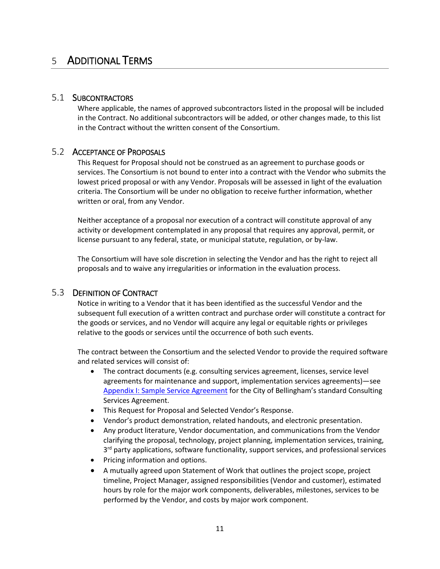# <span id="page-10-0"></span>5 ADDITIONAL TERMS

### 5.1 SUBCONTRACTORS

Where applicable, the names of approved subcontractors listed in the proposal will be included in the Contract. No additional subcontractors will be added, or other changes made, to this list in the Contract without the written consent of the Consortium.

### 5.2 ACCEPTANCE OF PROPOSALS

This Request for Proposal should not be construed as an agreement to purchase goods or services. The Consortium is not bound to enter into a contract with the Vendor who submits the lowest priced proposal or with any Vendor. Proposals will be assessed in light of the evaluation criteria. The Consortium will be under no obligation to receive further information, whether written or oral, from any Vendor.

Neither acceptance of a proposal nor execution of a contract will constitute approval of any activity or development contemplated in any proposal that requires any approval, permit, or license pursuant to any federal, state, or municipal statute, regulation, or by-law.

The Consortium will have sole discretion in selecting the Vendor and has the right to reject all proposals and to waive any irregularities or information in the evaluation process.

### 5.3 DEFINITION OF CONTRACT

Notice in writing to a Vendor that it has been identified as the successful Vendor and the subsequent full execution of a written contract and purchase order will constitute a contract for the goods or services, and no Vendor will acquire any legal or equitable rights or privileges relative to the goods or services until the occurrence of both such events.

The contract between the Consortium and the selected Vendor to provide the required software and related services will consist of:

- The contract documents (e.g. consulting services agreement, licenses, service level agreements for maintenance and support, implementation services agreements)—see [Appendix I: Sample Service Agreement](#page-49-0) for the City of Bellingham's standard Consulting Services Agreement.
- This Request for Proposal and Selected Vendor's Response.
- Vendor's product demonstration, related handouts, and electronic presentation.
- Any product literature, Vendor documentation, and communications from the Vendor clarifying the proposal, technology, project planning, implementation services, training, 3<sup>rd</sup> party applications, software functionality, support services, and professional services
- Pricing information and options.
- A mutually agreed upon Statement of Work that outlines the project scope, project timeline, Project Manager, assigned responsibilities (Vendor and customer), estimated hours by role for the major work components, deliverables, milestones, services to be performed by the Vendor, and costs by major work component.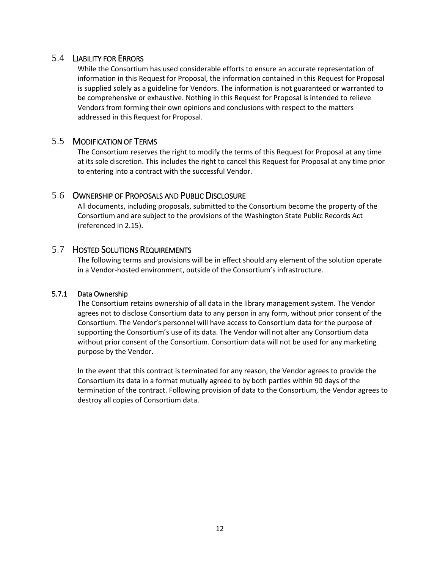## 5.4 LIABILITY FOR ERRORS

While the Consortium has used considerable efforts to ensure an accurate representation of information in this Request for Proposal, the information contained in this Request for Proposal is supplied solely as a guideline for Vendors. The information is not guaranteed or warranted to be comprehensive or exhaustive. Nothing in this Request for Proposal is intended to relieve Vendors from forming their own opinions and conclusions with respect to the matters addressed in this Request for Proposal.

### 5.5 MODIFICATION OF TERMS

The Consortium reserves the right to modify the terms of this Request for Proposal at any time at its sole discretion. This includes the right to cancel this Request for Proposal at any time prior to entering into a contract with the successful Vendor.

## 5.6 OWNERSHIP OF PROPOSALS AND PUBLIC DISCLOSURE

All documents, including proposals, submitted to the Consortium become the property of the Consortium and are subject to the provisions of the Washington State Public Records Act (referenced in 2.15).

## 5.7 HOSTED SOLUTIONS REQUIREMENTS

The following terms and provisions will be in effect should any element of the solution operate in a Vendor-hosted environment, outside of the Consortium's infrastructure.

### 5.7.1 Data Ownership

The Consortium retains ownership of all data in the library management system. The Vendor agrees not to disclose Consortium data to any person in any form, without prior consent of the Consortium. The Vendor's personnel will have access to Consortium data for the purpose of supporting the Consortium's use of its data. The Vendor will not alter any Consortium data without prior consent of the Consortium. Consortium data will not be used for any marketing purpose by the Vendor.

In the event that this contract is terminated for any reason, the Vendor agrees to provide the Consortium its data in a format mutually agreed to by both parties within 90 days of the termination of the contract. Following provision of data to the Consortium, the Vendor agrees to destroy all copies of Consortium data.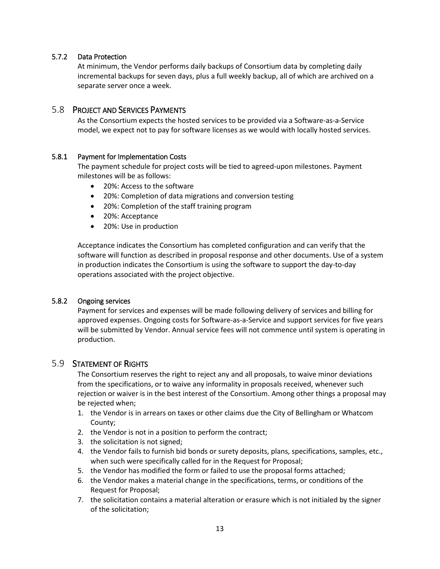### 5.7.2 Data Protection

At minimum, the Vendor performs daily backups of Consortium data by completing daily incremental backups for seven days, plus a full weekly backup, all of which are archived on a separate server once a week.

### 5.8 PROJECT AND SERVICES PAYMENTS

As the Consortium expects the hosted services to be provided via a Software-as-a-Service model, we expect not to pay for software licenses as we would with locally hosted services.

### 5.8.1 Payment for Implementation Costs

The payment schedule for project costs will be tied to agreed-upon milestones. Payment milestones will be as follows:

- 20%: Access to the software
- 20%: Completion of data migrations and conversion testing
- 20%: Completion of the staff training program
- 20%: Acceptance
- 20%: Use in production

Acceptance indicates the Consortium has completed configuration and can verify that the software will function as described in proposal response and other documents. Use of a system in production indicates the Consortium is using the software to support the day-to-day operations associated with the project objective.

### 5.8.2 Ongoing services

Payment for services and expenses will be made following delivery of services and billing for approved expenses. Ongoing costs for Software-as-a-Service and support services for five years will be submitted by Vendor. Annual service fees will not commence until system is operating in production.

### 5.9 STATEMENT OF RIGHTS

The Consortium reserves the right to reject any and all proposals, to waive minor deviations from the specifications, or to waive any informality in proposals received, whenever such rejection or waiver is in the best interest of the Consortium. Among other things a proposal may be rejected when;

- 1. the Vendor is in arrears on taxes or other claims due the City of Bellingham or Whatcom County;
- 2. the Vendor is not in a position to perform the contract;
- 3. the solicitation is not signed;
- 4. the Vendor fails to furnish bid bonds or surety deposits, plans, specifications, samples, etc., when such were specifically called for in the Request for Proposal;
- 5. the Vendor has modified the form or failed to use the proposal forms attached;
- 6. the Vendor makes a material change in the specifications, terms, or conditions of the Request for Proposal;
- 7. the solicitation contains a material alteration or erasure which is not initialed by the signer of the solicitation;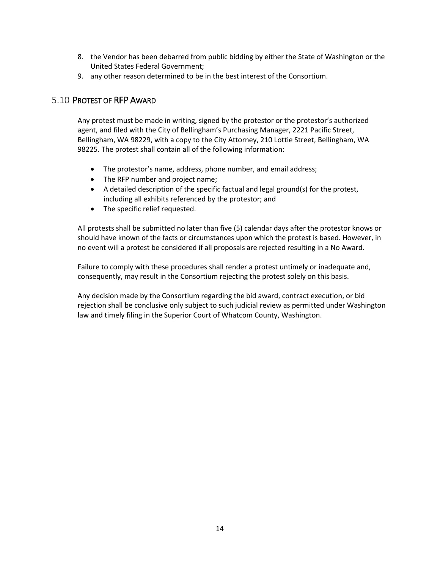- 8. the Vendor has been debarred from public bidding by either the State of Washington or the United States Federal Government;
- 9. any other reason determined to be in the best interest of the Consortium.

## 5.10 PROTEST OF RFP AWARD

Any protest must be made in writing, signed by the protestor or the protestor's authorized agent, and filed with the City of Bellingham's Purchasing Manager, 2221 Pacific Street, Bellingham, WA 98229, with a copy to the City Attorney, 210 Lottie Street, Bellingham, WA 98225. The protest shall contain all of the following information:

- The protestor's name, address, phone number, and email address;
- The RFP number and project name;
- A detailed description of the specific factual and legal ground(s) for the protest, including all exhibits referenced by the protestor; and
- The specific relief requested.

All protests shall be submitted no later than five (5) calendar days after the protestor knows or should have known of the facts or circumstances upon which the protest is based. However, in no event will a protest be considered if all proposals are rejected resulting in a No Award.

Failure to comply with these procedures shall render a protest untimely or inadequate and, consequently, may result in the Consortium rejecting the protest solely on this basis.

Any decision made by the Consortium regarding the bid award, contract execution, or bid rejection shall be conclusive only subject to such judicial review as permitted under Washington law and timely filing in the Superior Court of Whatcom County, Washington.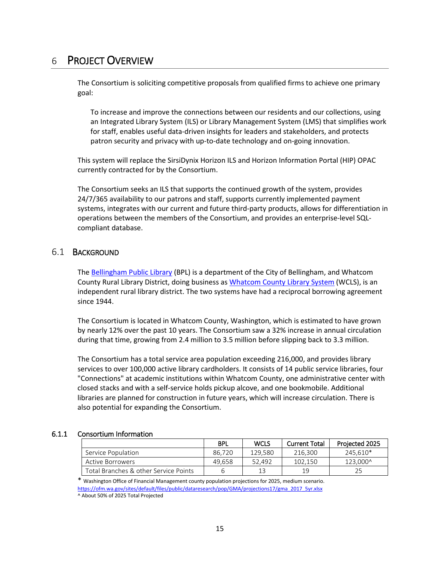# <span id="page-14-0"></span>6 PROJECT OVERVIEW

The Consortium is soliciting competitive proposals from qualified firms to achieve one primary goal:

To increase and improve the connections between our residents and our collections, using an Integrated Library System (ILS) or Library Management System (LMS) that simplifies work for staff, enables useful data-driven insights for leaders and stakeholders, and protects patron security and privacy with up-to-date technology and on-going innovation.

This system will replace the SirsiDynix Horizon ILS and Horizon Information Portal (HIP) OPAC currently contracted for by the Consortium.

The Consortium seeks an ILS that supports the continued growth of the system, provides 24/7/365 availability to our patrons and staff, supports currently implemented payment systems, integrates with our current and future third-party products, allows for differentiation in operations between the members of the Consortium, and provides an enterprise-level SQLcompliant database.

### 6.1 BACKGROUND

The [Bellingham Public Library](https://www.bellinghampubliclibrary.org/) (BPL) is a department of the City of Bellingham, and Whatcom County Rural Library District, doing business as [Whatcom County Library System](https://www.wcls.org/) (WCLS), is an independent rural library district. The two systems have had a reciprocal borrowing agreement since 1944.

The Consortium is located in Whatcom County, Washington, which is estimated to have grown by nearly 12% over the past 10 years. The Consortium saw a 32% increase in annual circulation during that time, growing from 2.4 million to 3.5 million before slipping back to 3.3 million.

The Consortium has a total service area population exceeding 216,000, and provides library services to over 100,000 active library cardholders. It consists of 14 public service libraries, four "Connections" at academic institutions within Whatcom County, one administrative center with closed stacks and with a self-service holds pickup alcove, and one bookmobile. Additional libraries are planned for construction in future years, which will increase circulation. There is also potential for expanding the Consortium.

### 6.1.1 Consortium Information

|                                       | <b>BPL</b> | WCLS    | <b>Current Total</b> | Projected 2025 |
|---------------------------------------|------------|---------|----------------------|----------------|
| Service Population                    | 86.720     | 129.580 | 216.300              | 245.610*       |
| Active Borrowers                      | 49.658     | 52.492  | 102.150              | 123.000^       |
| Total Branches & other Service Points |            | 13      | 19                   |                |

\* Washington Office of Financial Management county population projections for 2025, medium scenario. [https://ofm.wa.gov/sites/default/files/public/dataresearch/pop/GMA/projections17/gma\\_2017\\_5yr.xlsx](https://ofm.wa.gov/sites/default/files/public/dataresearch/pop/GMA/projections17/gma_2017_5yr.xlsx) ^ About 50% of 2025 Total Projected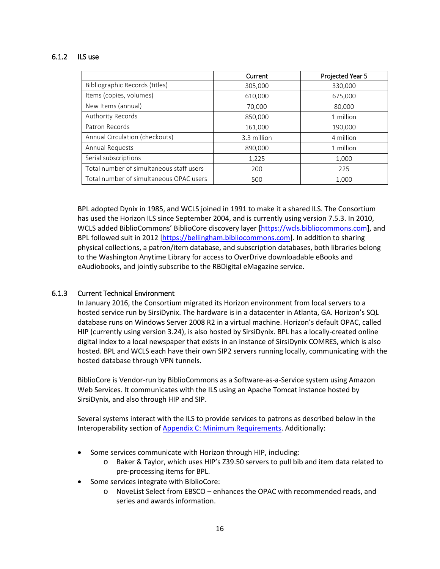### 6.1.2 ILS use

|                                          | Current     | Projected Year 5 |
|------------------------------------------|-------------|------------------|
| Bibliographic Records (titles)           | 305,000     | 330,000          |
| Items (copies, volumes)                  | 610,000     | 675,000          |
| New Items (annual)                       | 70,000      | 80,000           |
| Authority Records                        | 850,000     | 1 million        |
| Patron Records                           | 161,000     | 190,000          |
| Annual Circulation (checkouts)           | 3.3 million | 4 million        |
| Annual Requests                          | 890,000     | 1 million        |
| Serial subscriptions                     | 1,225       | 1,000            |
| Total number of simultaneous staff users | 200         | 225              |
| Total number of simultaneous OPAC users  | 500         | 1,000            |

BPL adopted Dynix in 1985, and WCLS joined in 1991 to make it a shared ILS. The Consortium has used the Horizon ILS since September 2004, and is currently using version 7.5.3. In 2010, WCLS added BiblioCommons' BiblioCore discovery layer [\[https://wcls.bibliocommons.com\]](https://wcls.bibliocommons.com/), and BPL followed suit in 2012 [\[https://bellingham.bibliocommons.com\]](https://bellingham.bibliocommons.com/). In addition to sharing physical collections, a patron/item database, and subscription databases, both libraries belong to the Washington Anytime Library for access to OverDrive downloadable eBooks and eAudiobooks, and jointly subscribe to the RBDigital eMagazine service.

### 6.1.3 Current Technical Environment

In January 2016, the Consortium migrated its Horizon environment from local servers to a hosted service run by SirsiDynix. The hardware is in a datacenter in Atlanta, GA. Horizon's SQL database runs on Windows Server 2008 R2 in a virtual machine. Horizon's default OPAC, called HIP (currently using version 3.24), is also hosted by SirsiDynix. BPL has a locally-created online digital index to a local newspaper that exists in an instance of SirsiDynix COMRES, which is also hosted. BPL and WCLS each have their own SIP2 servers running locally, communicating with the hosted database through VPN tunnels.

BiblioCore is Vendor-run by BiblioCommons as a Software-as-a-Service system using Amazon Web Services. It communicates with the ILS using an Apache Tomcat instance hosted by SirsiDynix, and also through HIP and SIP.

Several systems interact with the ILS to provide services to patrons as described below in the Interoperability section o[f Appendix C: Minimum Requirements.](#page-24-0) Additionally:

- Some services communicate with Horizon through HIP, including:
	- o Baker & Taylor, which uses HIP's Z39.50 servers to pull bib and item data related to pre-processing items for BPL.
- Some services integrate with BiblioCore:
	- o NoveList Select from EBSCO enhances the OPAC with recommended reads, and series and awards information.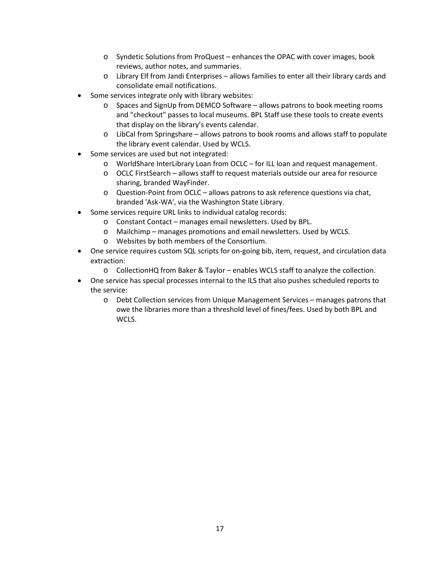- o Syndetic Solutions from ProQuest enhances the OPAC with cover images, book reviews, author notes, and summaries.
- o Library Elf from Jandi Enterprises allows families to enter all their library cards and consolidate email notifications.
- Some services integrate only with library websites:
	- o Spaces and SignUp from DEMCO Software allows patrons to book meeting rooms and "checkout" passes to local museums. BPL Staff use these tools to create events that display on the library's events calendar.
	- o LibCal from Springshare allows patrons to book rooms and allows staff to populate the library event calendar. Used by WCLS.
- Some services are used but not integrated:
	- o WorldShare InterLibrary Loan from OCLC for ILL loan and request management.
	- o OCLC FirstSearch allows staff to request materials outside our area for resource sharing, branded WayFinder.
	- o Question-Point from OCLC allows patrons to ask reference questions via chat, branded 'Ask-WA', via the Washington State Library.
- Some services require URL links to individual catalog records:
	- o Constant Contact manages email newsletters. Used by BPL.
	- o Mailchimp manages promotions and email newsletters. Used by WCLS.
	- o Websites by both members of the Consortium.
- One service requires custom SQL scripts for on-going bib, item, request, and circulation data extraction:
	- o CollectionHQ from Baker & Taylor enables WCLS staff to analyze the collection.
- One service has special processes internal to the ILS that also pushes scheduled reports to the service:
	- o Debt Collection services from Unique Management Services manages patrons that owe the libraries more than a threshold level of fines/fees. Used by both BPL and WCLS.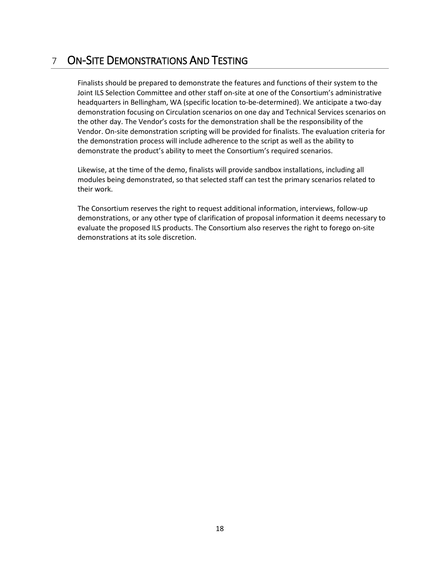# <span id="page-17-0"></span>7 ON-SITE DEMONSTRATIONS AND TESTING

Finalists should be prepared to demonstrate the features and functions of their system to the Joint ILS Selection Committee and other staff on-site at one of the Consortium's administrative headquarters in Bellingham, WA (specific location to-be-determined). We anticipate a two-day demonstration focusing on Circulation scenarios on one day and Technical Services scenarios on the other day. The Vendor's costs for the demonstration shall be the responsibility of the Vendor. On-site demonstration scripting will be provided for finalists. The evaluation criteria for the demonstration process will include adherence to the script as well as the ability to demonstrate the product's ability to meet the Consortium's required scenarios.

Likewise, at the time of the demo, finalists will provide sandbox installations, including all modules being demonstrated, so that selected staff can test the primary scenarios related to their work.

The Consortium reserves the right to request additional information, interviews, follow-up demonstrations, or any other type of clarification of proposal information it deems necessary to evaluate the proposed ILS products. The Consortium also reserves the right to forego on-site demonstrations at its sole discretion.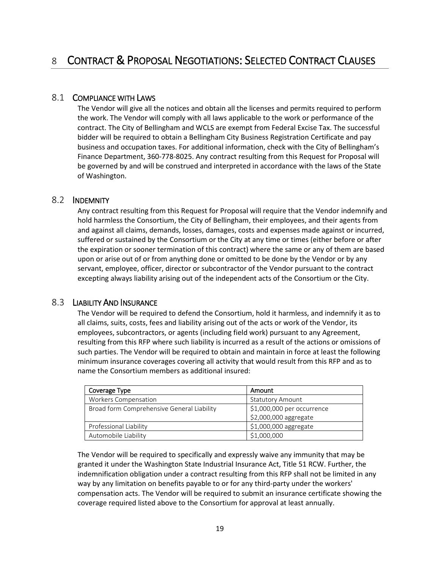### <span id="page-18-0"></span>8.1 COMPLIANCE WITH LAWS

The Vendor will give all the notices and obtain all the licenses and permits required to perform the work. The Vendor will comply with all laws applicable to the work or performance of the contract. The City of Bellingham and WCLS are exempt from Federal Excise Tax. The successful bidder will be required to obtain a Bellingham City Business Registration Certificate and pay business and occupation taxes. For additional information, check with the City of Bellingham's Finance Department, 360-778-8025. Any contract resulting from this Request for Proposal will be governed by and will be construed and interpreted in accordance with the laws of the State of Washington.

### 8.2 INDEMNITY

Any contract resulting from this Request for Proposal will require that the Vendor indemnify and hold harmless the Consortium, the City of Bellingham, their employees, and their agents from and against all claims, demands, losses, damages, costs and expenses made against or incurred, suffered or sustained by the Consortium or the City at any time or times (either before or after the expiration or sooner termination of this contract) where the same or any of them are based upon or arise out of or from anything done or omitted to be done by the Vendor or by any servant, employee, officer, director or subcontractor of the Vendor pursuant to the contract excepting always liability arising out of the independent acts of the Consortium or the City.

### 8.3 LIABILITY AND INSURANCE

The Vendor will be required to defend the Consortium, hold it harmless, and indemnify it as to all claims, suits, costs, fees and liability arising out of the acts or work of the Vendor, its employees, subcontractors, or agents (including field work) pursuant to any Agreement, resulting from this RFP where such liability is incurred as a result of the actions or omissions of such parties. The Vendor will be required to obtain and maintain in force at least the following minimum insurance coverages covering all activity that would result from this RFP and as to name the Consortium members as additional insured:

| Coverage Type                              | Amount                     |  |
|--------------------------------------------|----------------------------|--|
| <b>Workers Compensation</b>                | <b>Statutory Amount</b>    |  |
| Broad form Comprehensive General Liability | \$1,000,000 per occurrence |  |
|                                            | \$2,000,000 aggregate      |  |
| Professional Liability                     | \$1,000,000 aggregate      |  |
| Automobile Liability                       | \$1,000,000                |  |

The Vendor will be required to specifically and expressly waive any immunity that may be granted it under the Washington State Industrial Insurance Act, Title 51 RCW. Further, the indemnification obligation under a contract resulting from this RFP shall not be limited in any way by any limitation on benefits payable to or for any third-party under the workers' compensation acts. The Vendor will be required to submit an insurance certificate showing the coverage required listed above to the Consortium for approval at least annually.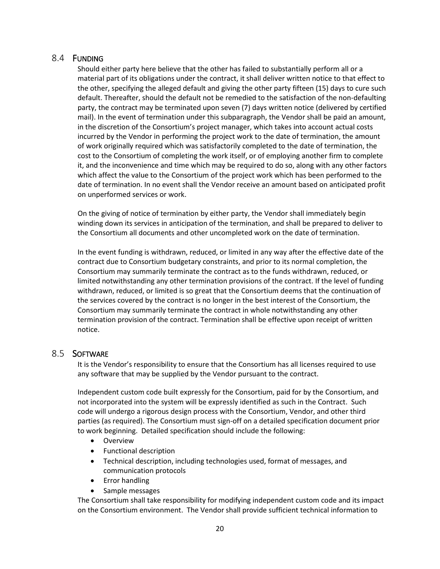## 8.4 FUNDING

Should either party here believe that the other has failed to substantially perform all or a material part of its obligations under the contract, it shall deliver written notice to that effect to the other, specifying the alleged default and giving the other party fifteen (15) days to cure such default. Thereafter, should the default not be remedied to the satisfaction of the non-defaulting party, the contract may be terminated upon seven (7) days written notice (delivered by certified mail). In the event of termination under this subparagraph, the Vendor shall be paid an amount, in the discretion of the Consortium's project manager, which takes into account actual costs incurred by the Vendor in performing the project work to the date of termination, the amount of work originally required which was satisfactorily completed to the date of termination, the cost to the Consortium of completing the work itself, or of employing another firm to complete it, and the inconvenience and time which may be required to do so, along with any other factors which affect the value to the Consortium of the project work which has been performed to the date of termination. In no event shall the Vendor receive an amount based on anticipated profit on unperformed services or work.

On the giving of notice of termination by either party, the Vendor shall immediately begin winding down its services in anticipation of the termination, and shall be prepared to deliver to the Consortium all documents and other uncompleted work on the date of termination.

In the event funding is withdrawn, reduced, or limited in any way after the effective date of the contract due to Consortium budgetary constraints, and prior to its normal completion, the Consortium may summarily terminate the contract as to the funds withdrawn, reduced, or limited notwithstanding any other termination provisions of the contract. If the level of funding withdrawn, reduced, or limited is so great that the Consortium deems that the continuation of the services covered by the contract is no longer in the best interest of the Consortium, the Consortium may summarily terminate the contract in whole notwithstanding any other termination provision of the contract. Termination shall be effective upon receipt of written notice.

### 8.5 SOFTWARE

It is the Vendor's responsibility to ensure that the Consortium has all licenses required to use any software that may be supplied by the Vendor pursuant to the contract.

Independent custom code built expressly for the Consortium, paid for by the Consortium, and not incorporated into the system will be expressly identified as such in the Contract. Such code will undergo a rigorous design process with the Consortium, Vendor, and other third parties (as required). The Consortium must sign-off on a detailed specification document prior to work beginning. Detailed specification should include the following:

- Overview
- Functional description
- Technical description, including technologies used, format of messages, and communication protocols
- Error handling
- Sample messages

The Consortium shall take responsibility for modifying independent custom code and its impact on the Consortium environment. The Vendor shall provide sufficient technical information to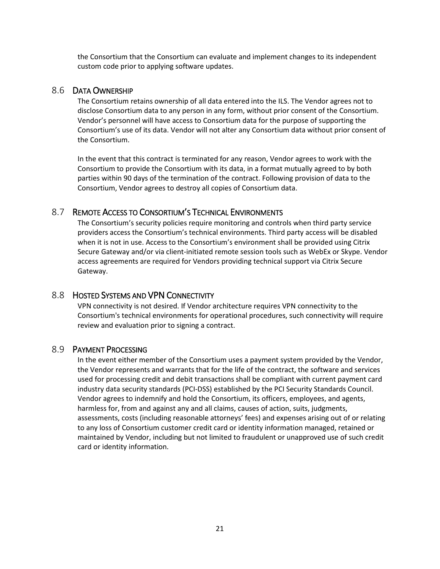the Consortium that the Consortium can evaluate and implement changes to its independent custom code prior to applying software updates.

## 8.6 DATA OWNERSHIP

The Consortium retains ownership of all data entered into the ILS. The Vendor agrees not to disclose Consortium data to any person in any form, without prior consent of the Consortium. Vendor's personnel will have access to Consortium data for the purpose of supporting the Consortium's use of its data. Vendor will not alter any Consortium data without prior consent of the Consortium.

In the event that this contract is terminated for any reason, Vendor agrees to work with the Consortium to provide the Consortium with its data, in a format mutually agreed to by both parties within 90 days of the termination of the contract. Following provision of data to the Consortium, Vendor agrees to destroy all copies of Consortium data.

## 8.7 REMOTE ACCESS TO CONSORTIUM'S TECHNICAL ENVIRONMENTS

The Consortium's security policies require monitoring and controls when third party service providers access the Consortium's technical environments. Third party access will be disabled when it is not in use. Access to the Consortium's environment shall be provided using Citrix Secure Gateway and/or via client-initiated remote session tools such as WebEx or Skype. Vendor access agreements are required for Vendors providing technical support via Citrix Secure Gateway.

### 8.8 HOSTED SYSTEMS AND VPN CONNECTIVITY

VPN connectivity is not desired. If Vendor architecture requires VPN connectivity to the Consortium's technical environments for operational procedures, such connectivity will require review and evaluation prior to signing a contract.

### 8.9 PAYMENT PROCESSING

In the event either member of the Consortium uses a payment system provided by the Vendor, the Vendor represents and warrants that for the life of the contract, the software and services used for processing credit and debit transactions shall be compliant with current payment card industry data security standards (PCI-DSS) established by the PCI Security Standards Council. Vendor agrees to indemnify and hold the Consortium, its officers, employees, and agents, harmless for, from and against any and all claims, causes of action, suits, judgments, assessments, costs (including reasonable attorneys' fees) and expenses arising out of or relating to any loss of Consortium customer credit card or identity information managed, retained or maintained by Vendor, including but not limited to fraudulent or unapproved use of such credit card or identity information.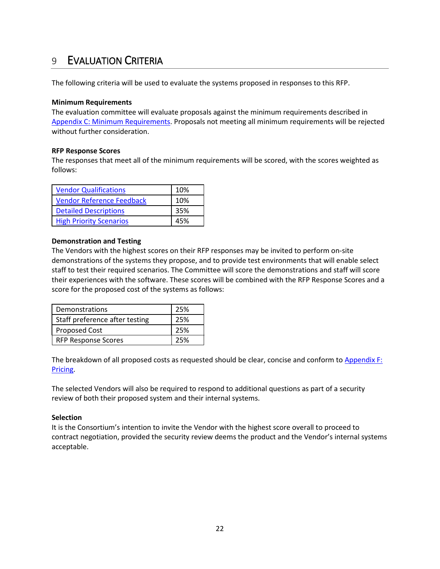# <span id="page-21-0"></span>9 EVALUATION CRITERIA

The following criteria will be used to evaluate the systems proposed in responses to this RFP.

### **Minimum Requirements**

The evaluation committee will evaluate proposals against the minimum requirements described in [Appendix C: Minimum Requirements.](#page-24-0) Proposals not meeting all minimum requirements will be rejected without further consideration.

#### **RFP Response Scores**

The responses that meet all of the minimum requirements will be scored, with the scores weighted as follows:

| <b>Vendor Qualifications</b>     | 10% |
|----------------------------------|-----|
| <b>Vendor Reference Feedback</b> | 10% |
| <b>Detailed Descriptions</b>     | 35% |
| <b>High Priority Scenarios</b>   | 45% |

#### **Demonstration and Testing**

The Vendors with the highest scores on their RFP responses may be invited to perform on-site demonstrations of the systems they propose, and to provide test environments that will enable select staff to test their required scenarios. The Committee will score the demonstrations and staff will score their experiences with the software. These scores will be combined with the RFP Response Scores and a score for the proposed cost of the systems as follows:

| Demonstrations                 | 25% |
|--------------------------------|-----|
| Staff preference after testing | 25% |
| <b>Proposed Cost</b>           | 25% |
| <b>RFP Response Scores</b>     | 25% |

The breakdown of all proposed costs as requested should be clear, concise and conform to Appendix F: [Pricing.](#page-44-0)

The selected Vendors will also be required to respond to additional questions as part of a security review of both their proposed system and their internal systems.

### **Selection**

It is the Consortium's intention to invite the Vendor with the highest score overall to proceed to contract negotiation, provided the security review deems the product and the Vendor's internal systems acceptable.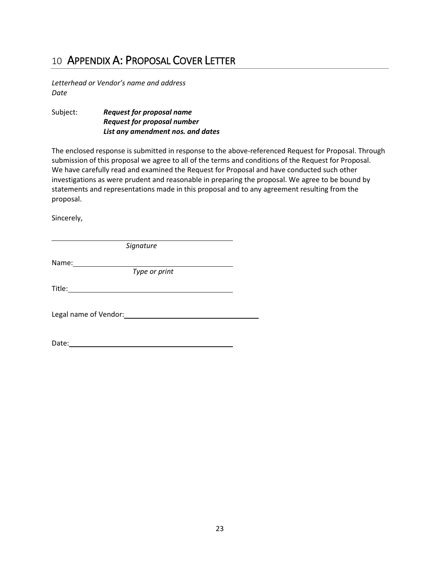# <span id="page-22-0"></span>10 APPENDIX A: PROPOSAL COVER LETTER

*Letterhead or Vendor's name and address Date*

Subject: *Request for proposal name Request for proposal number List any amendment nos. and dates*

The enclosed response is submitted in response to the above-referenced Request for Proposal. Through submission of this proposal we agree to all of the terms and conditions of the Request for Proposal. We have carefully read and examined the Request for Proposal and have conducted such other investigations as were prudent and reasonable in preparing the proposal. We agree to be bound by statements and representations made in this proposal and to any agreement resulting from the proposal.

Sincerely,

*Signature*

Name:

*Type or print*

Title: **The Community of the Community of the Community of the Community of the Community of the Community of the Community of the Community of the Community of the Community of the Community of the Community of the Commun** 

Legal name of Vendor: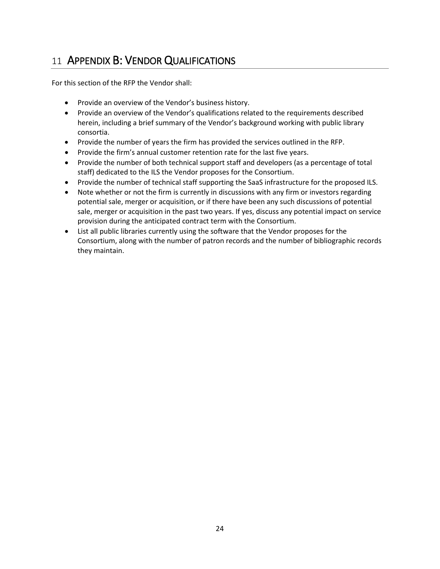# <span id="page-23-0"></span>11 APPENDIX B: VENDOR QUALIFICATIONS

For this section of the RFP the Vendor shall:

- Provide an overview of the Vendor's business history.
- Provide an overview of the Vendor's qualifications related to the requirements described herein, including a brief summary of the Vendor's background working with public library consortia.
- Provide the number of years the firm has provided the services outlined in the RFP.
- Provide the firm's annual customer retention rate for the last five years.
- Provide the number of both technical support staff and developers (as a percentage of total staff) dedicated to the ILS the Vendor proposes for the Consortium.
- Provide the number of technical staff supporting the SaaS infrastructure for the proposed ILS.
- Note whether or not the firm is currently in discussions with any firm or investors regarding potential sale, merger or acquisition, or if there have been any such discussions of potential sale, merger or acquisition in the past two years. If yes, discuss any potential impact on service provision during the anticipated contract term with the Consortium.
- List all public libraries currently using the software that the Vendor proposes for the Consortium, along with the number of patron records and the number of bibliographic records they maintain.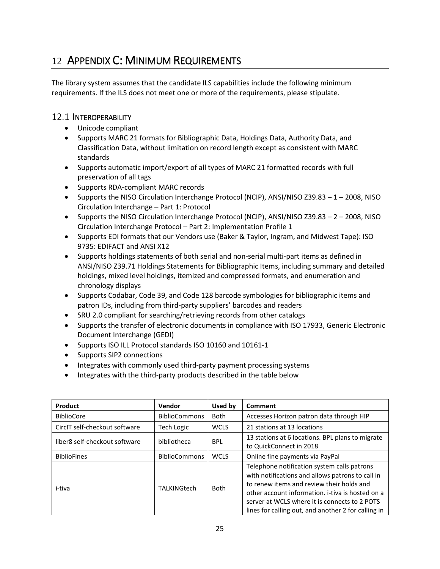# <span id="page-24-0"></span>12 APPENDIX C: MINIMUM REQUIREMENTS

The library system assumes that the candidate ILS capabilities include the following minimum requirements. If the ILS does not meet one or more of the requirements, please stipulate.

### 12.1 INTEROPERABILITY

- Unicode compliant
- Supports MARC 21 formats for Bibliographic Data, Holdings Data, Authority Data, and Classification Data, without limitation on record length except as consistent with MARC standards
- Supports automatic import/export of all types of MARC 21 formatted records with full preservation of all tags
- Supports RDA-compliant MARC records
- Supports the NISO Circulation Interchange Protocol (NCIP), ANSI/NISO Z39.83 1 2008, NISO Circulation Interchange – Part 1: Protocol
- Supports the NISO Circulation Interchange Protocol (NCIP), ANSI/NISO Z39.83 2 2008, NISO Circulation Interchange Protocol – Part 2: Implementation Profile 1
- Supports EDI formats that our Vendors use (Baker & Taylor, Ingram, and Midwest Tape): ISO 9735: EDIFACT and ANSI X12
- Supports holdings statements of both serial and non-serial multi-part items as defined in ANSI/NISO Z39.71 Holdings Statements for Bibliographic Items, including summary and detailed holdings, mixed level holdings, itemized and compressed formats, and enumeration and chronology displays
- Supports Codabar, Code 39, and Code 128 barcode symbologies for bibliographic items and patron IDs, including from third-party suppliers' barcodes and readers
- SRU 2.0 compliant for searching/retrieving records from other catalogs
- Supports the transfer of electronic documents in compliance with ISO 17933, Generic Electronic Document Interchange (GEDI)
- Supports ISO ILL Protocol standards ISO 10160 and 10161-1
- Supports SIP2 connections
- Integrates with commonly used third-party payment processing systems
- Integrates with the third-party products described in the table below

| Product                       | Vendor               | Used by                                                                                   | Comment                                                                                                                                                                                                                                                                                                  |
|-------------------------------|----------------------|-------------------------------------------------------------------------------------------|----------------------------------------------------------------------------------------------------------------------------------------------------------------------------------------------------------------------------------------------------------------------------------------------------------|
| <b>BiblioCore</b>             | <b>BiblioCommons</b> | <b>Both</b>                                                                               | Accesses Horizon patron data through HIP                                                                                                                                                                                                                                                                 |
| CircIT self-checkout software | <b>Tech Logic</b>    | <b>WCLS</b>                                                                               | 21 stations at 13 locations                                                                                                                                                                                                                                                                              |
| liber8 self-checkout software | bibliotheca          | 13 stations at 6 locations. BPL plans to migrate<br><b>BPL</b><br>to QuickConnect in 2018 |                                                                                                                                                                                                                                                                                                          |
| <b>BiblioFines</b>            | <b>BiblioCommons</b> | <b>WCLS</b>                                                                               | Online fine payments via PayPal                                                                                                                                                                                                                                                                          |
| i-tiva                        | TALKINGtech          | <b>Both</b>                                                                               | Telephone notification system calls patrons<br>with notifications and allows patrons to call in<br>to renew items and review their holds and<br>other account information, i-tiva is hosted on a<br>server at WCLS where it is connects to 2 POTS<br>lines for calling out, and another 2 for calling in |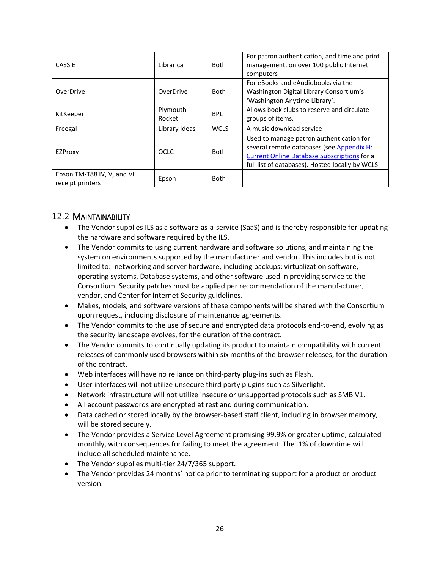| CASSIE                                         | Librarica          | <b>Both</b> | For patron authentication, and time and print<br>management, on over 100 public Internet<br>computers                                                                                          |
|------------------------------------------------|--------------------|-------------|------------------------------------------------------------------------------------------------------------------------------------------------------------------------------------------------|
| OverDrive                                      | OverDrive          | Both        | For eBooks and eAudiobooks via the<br>Washington Digital Library Consortium's<br>'Washington Anytime Library'.                                                                                 |
| KitKeeper                                      | Plymouth<br>Rocket | <b>BPL</b>  | Allows book clubs to reserve and circulate<br>groups of items.                                                                                                                                 |
| Freegal                                        | Library Ideas      | <b>WCLS</b> | A music download service                                                                                                                                                                       |
| EZProxy                                        | <b>OCLC</b>        | <b>Both</b> | Used to manage patron authentication for<br>several remote databases (see Appendix H:<br><b>Current Online Database Subscriptions for a</b><br>full list of databases). Hosted locally by WCLS |
| Epson TM-T88 IV, V, and VI<br>receipt printers | Epson              | <b>Both</b> |                                                                                                                                                                                                |

## 12.2 MAINTAINABILITY

- The Vendor supplies ILS as a software-as-a-service (SaaS) and is thereby responsible for updating the hardware and software required by the ILS.
- The Vendor commits to using current hardware and software solutions, and maintaining the system on environments supported by the manufacturer and vendor. This includes but is not limited to: networking and server hardware, including backups; virtualization software, operating systems, Database systems, and other software used in providing service to the Consortium. Security patches must be applied per recommendation of the manufacturer, vendor, and Center for Internet Security guidelines.
- Makes, models, and software versions of these components will be shared with the Consortium upon request, including disclosure of maintenance agreements.
- The Vendor commits to the use of secure and encrypted data protocols end-to-end, evolving as the security landscape evolves, for the duration of the contract.
- The Vendor commits to continually updating its product to maintain compatibility with current releases of commonly used browsers within six months of the browser releases, for the duration of the contract.
- Web interfaces will have no reliance on third-party plug-ins such as Flash.
- User interfaces will not utilize unsecure third party plugins such as Silverlight.
- Network infrastructure will not utilize insecure or unsupported protocols such as SMB V1.
- All account passwords are encrypted at rest and during communication.
- Data cached or stored locally by the browser-based staff client, including in browser memory, will be stored securely.
- The Vendor provides a Service Level Agreement promising 99.9% or greater uptime, calculated monthly, with consequences for failing to meet the agreement. The .1% of downtime will include all scheduled maintenance.
- The Vendor supplies multi-tier 24/7/365 support.
- The Vendor provides 24 months' notice prior to terminating support for a product or product version.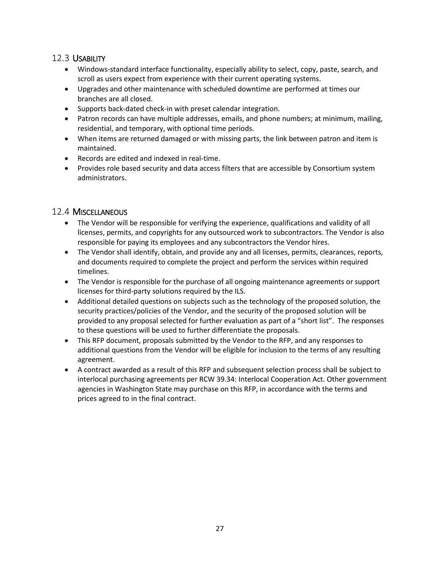# 12.3 USABILITY

- Windows-standard interface functionality, especially ability to select, copy, paste, search, and scroll as users expect from experience with their current operating systems.
- Upgrades and other maintenance with scheduled downtime are performed at times our branches are all closed.
- Supports back-dated check-in with preset calendar integration.
- Patron records can have multiple addresses, emails, and phone numbers; at minimum, mailing, residential, and temporary, with optional time periods.
- When items are returned damaged or with missing parts, the link between patron and item is maintained.
- Records are edited and indexed in real-time.
- Provides role based security and data access filters that are accessible by Consortium system administrators.

## 12.4 MISCELLANEOUS

- The Vendor will be responsible for verifying the experience, qualifications and validity of all licenses, permits, and copyrights for any outsourced work to subcontractors. The Vendor is also responsible for paying its employees and any subcontractors the Vendor hires.
- The Vendor shall identify, obtain, and provide any and all licenses, permits, clearances, reports, and documents required to complete the project and perform the services within required timelines.
- The Vendor is responsible for the purchase of all ongoing maintenance agreements or support licenses for third-party solutions required by the ILS.
- Additional detailed questions on subjects such as the technology of the proposed solution, the security practices/policies of the Vendor, and the security of the proposed solution will be provided to any proposal selected for further evaluation as part of a "short list". The responses to these questions will be used to further differentiate the proposals.
- This RFP document, proposals submitted by the Vendor to the RFP, and any responses to additional questions from the Vendor will be eligible for inclusion to the terms of any resulting agreement.
- A contract awarded as a result of this RFP and subsequent selection process shall be subject to interlocal purchasing agreements per RCW 39.34: Interlocal Cooperation Act. Other government agencies in Washington State may purchase on this RFP, in accordance with the terms and prices agreed to in the final contract.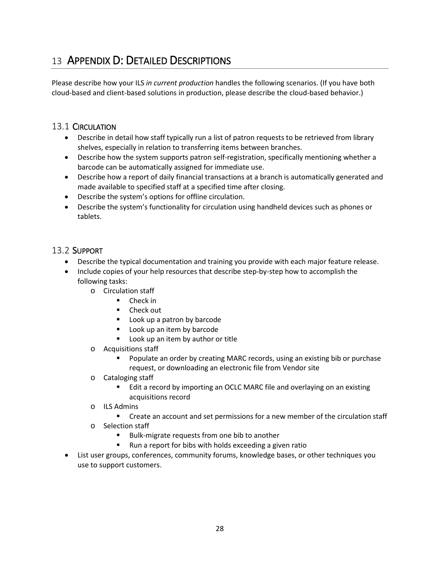# <span id="page-27-0"></span>13 APPENDIX D: DETAILED DESCRIPTIONS

Please describe how your ILS *in current production* handles the following scenarios. (If you have both cloud-based and client-based solutions in production, please describe the cloud-based behavior.)

# 13.1 CIRCULATION

- Describe in detail how staff typically run a list of patron requests to be retrieved from library shelves, especially in relation to transferring items between branches.
- Describe how the system supports patron self-registration, specifically mentioning whether a barcode can be automatically assigned for immediate use.
- Describe how a report of daily financial transactions at a branch is automatically generated and made available to specified staff at a specified time after closing.
- Describe the system's options for offline circulation.
- Describe the system's functionality for circulation using handheld devices such as phones or tablets.

## 13.2 SUPPORT

- Describe the typical documentation and training you provide with each major feature release.
- Include copies of your help resources that describe step-by-step how to accomplish the following tasks:
	- o Circulation staff
		- Check in
		- Check out
		- **Look up a patron by barcode**
		- **Look up an item by barcode**
		- **Look up an item by author or title**
	- o Acquisitions staff
		- Populate an order by creating MARC records, using an existing bib or purchase request, or downloading an electronic file from Vendor site
	- o Cataloging staff
		- **Edit a record by importing an OCLC MARC file and overlaying on an existing** acquisitions record
	- o ILS Admins
		- Create an account and set permissions for a new member of the circulation staff
	- o Selection staff
		- Bulk-migrate requests from one bib to another
		- Run a report for bibs with holds exceeding a given ratio
- List user groups, conferences, community forums, knowledge bases, or other techniques you use to support customers.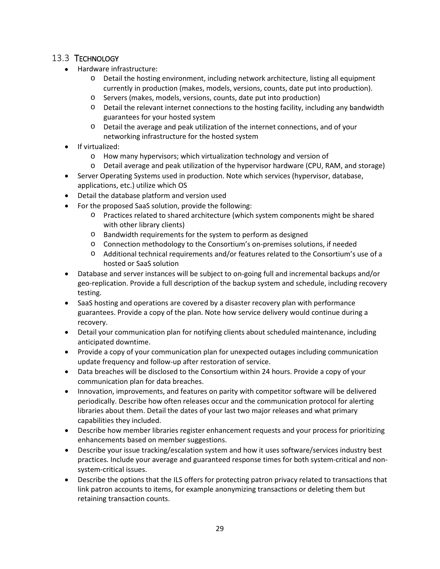# 13.3 TECHNOLOGY

- Hardware infrastructure:
	- o Detail the hosting environment, including network architecture, listing all equipment currently in production (makes, models, versions, counts, date put into production).
	- o Servers (makes, models, versions, counts, date put into production)
	- $\circ$  Detail the relevant internet connections to the hosting facility, including any bandwidth guarantees for your hosted system
	- o Detail the average and peak utilization of the internet connections, and of your networking infrastructure for the hosted system
- If virtualized:
	- o How many hypervisors; which virtualization technology and version of
	- o Detail average and peak utilization of the hypervisor hardware (CPU, RAM, and storage)
- Server Operating Systems used in production. Note which services (hypervisor, database, applications, etc.) utilize which OS
- Detail the database platform and version used
- For the proposed SaaS solution, provide the following:
	- o Practices related to shared architecture (which system components might be shared with other library clients)
	- o Bandwidth requirements for the system to perform as designed
	- o Connection methodology to the Consortium's on-premises solutions, if needed
	- o Additional technical requirements and/or features related to the Consortium's use of a hosted or SaaS solution
- Database and server instances will be subject to on-going full and incremental backups and/or geo-replication. Provide a full description of the backup system and schedule, including recovery testing.
- SaaS hosting and operations are covered by a disaster recovery plan with performance guarantees. Provide a copy of the plan. Note how service delivery would continue during a recovery.
- Detail your communication plan for notifying clients about scheduled maintenance, including anticipated downtime.
- Provide a copy of your communication plan for unexpected outages including communication update frequency and follow-up after restoration of service.
- Data breaches will be disclosed to the Consortium within 24 hours. Provide a copy of your communication plan for data breaches.
- Innovation, improvements, and features on parity with competitor software will be delivered periodically. Describe how often releases occur and the communication protocol for alerting libraries about them. Detail the dates of your last two major releases and what primary capabilities they included.
- Describe how member libraries register enhancement requests and your process for prioritizing enhancements based on member suggestions.
- Describe your issue tracking/escalation system and how it uses software/services industry best practices. Include your average and guaranteed response times for both system-critical and nonsystem-critical issues.
- Describe the options that the ILS offers for protecting patron privacy related to transactions that link patron accounts to items, for example anonymizing transactions or deleting them but retaining transaction counts.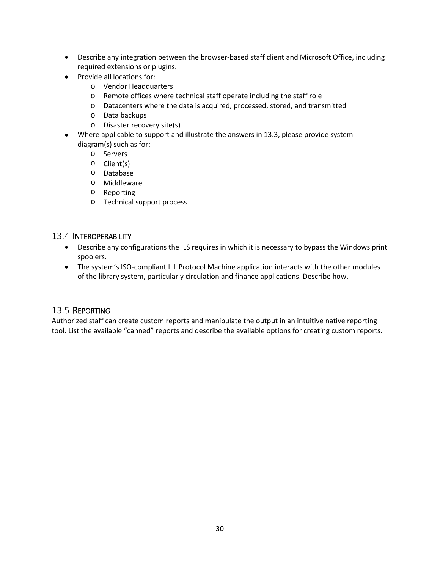- Describe any integration between the browser-based staff client and Microsoft Office, including required extensions or plugins.
- Provide all locations for:
	- o Vendor Headquarters
	- o Remote offices where technical staff operate including the staff role
	- o Datacenters where the data is acquired, processed, stored, and transmitted
	- o Data backups
	- o Disaster recovery site(s)
- Where applicable to support and illustrate the answers in 13.3, please provide system diagram(s) such as for:
	- o Servers
	- o Client(s)
	- o Database
	- o Middleware
	- o Reporting
	- o Technical support process

## 13.4 INTEROPERABILITY

- Describe any configurations the ILS requires in which it is necessary to bypass the Windows print spoolers.
- The system's ISO-compliant ILL Protocol Machine application interacts with the other modules of the library system, particularly circulation and finance applications. Describe how.

# 13.5 REPORTING

Authorized staff can create custom reports and manipulate the output in an intuitive native reporting tool. List the available "canned" reports and describe the available options for creating custom reports.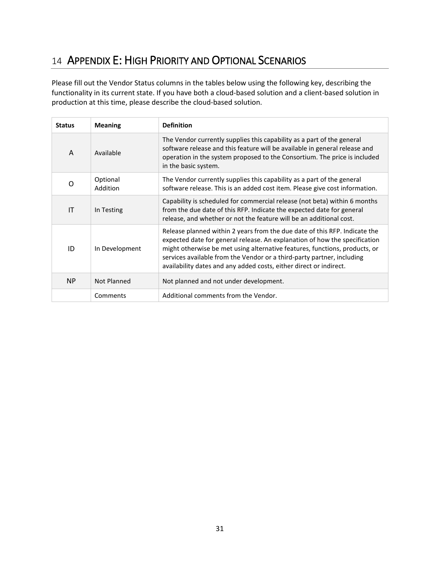# <span id="page-30-0"></span>14 APPENDIX E: HIGH PRIORITY AND OPTIONAL SCENARIOS

Please fill out the Vendor Status columns in the tables below using the following key, describing the functionality in its current state. If you have both a cloud-based solution and a client-based solution in production at this time, please describe the cloud-based solution.

| <b>Status</b> | <b>Meaning</b>       | <b>Definition</b>                                                                                                                                                                                                                                                                                                                                                                      |
|---------------|----------------------|----------------------------------------------------------------------------------------------------------------------------------------------------------------------------------------------------------------------------------------------------------------------------------------------------------------------------------------------------------------------------------------|
| A             | Available            | The Vendor currently supplies this capability as a part of the general<br>software release and this feature will be available in general release and<br>operation in the system proposed to the Consortium. The price is included<br>in the basic system.                                                                                                                              |
| $\Omega$      | Optional<br>Addition | The Vendor currently supplies this capability as a part of the general<br>software release. This is an added cost item. Please give cost information.                                                                                                                                                                                                                                  |
| IT            | In Testing           | Capability is scheduled for commercial release (not beta) within 6 months<br>from the due date of this RFP. Indicate the expected date for general<br>release, and whether or not the feature will be an additional cost.                                                                                                                                                              |
| ID            | In Development       | Release planned within 2 years from the due date of this RFP. Indicate the<br>expected date for general release. An explanation of how the specification<br>might otherwise be met using alternative features, functions, products, or<br>services available from the Vendor or a third-party partner, including<br>availability dates and any added costs, either direct or indirect. |
| <b>NP</b>     | Not Planned          | Not planned and not under development.                                                                                                                                                                                                                                                                                                                                                 |
|               | Comments             | Additional comments from the Vendor.                                                                                                                                                                                                                                                                                                                                                   |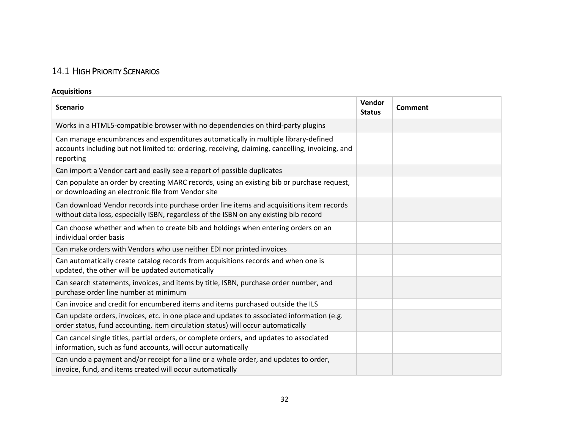# 14.1 HIGH PRIORITY SCENARIOS

## **Acquisitions**

| <b>Scenario</b>                                                                                                                                                                                     | Vendor<br><b>Status</b> | Comment |
|-----------------------------------------------------------------------------------------------------------------------------------------------------------------------------------------------------|-------------------------|---------|
| Works in a HTML5-compatible browser with no dependencies on third-party plugins                                                                                                                     |                         |         |
| Can manage encumbrances and expenditures automatically in multiple library-defined<br>accounts including but not limited to: ordering, receiving, claiming, cancelling, invoicing, and<br>reporting |                         |         |
| Can import a Vendor cart and easily see a report of possible duplicates                                                                                                                             |                         |         |
| Can populate an order by creating MARC records, using an existing bib or purchase request,<br>or downloading an electronic file from Vendor site                                                    |                         |         |
| Can download Vendor records into purchase order line items and acquisitions item records<br>without data loss, especially ISBN, regardless of the ISBN on any existing bib record                   |                         |         |
| Can choose whether and when to create bib and holdings when entering orders on an<br>individual order basis                                                                                         |                         |         |
| Can make orders with Vendors who use neither EDI nor printed invoices                                                                                                                               |                         |         |
| Can automatically create catalog records from acquisitions records and when one is<br>updated, the other will be updated automatically                                                              |                         |         |
| Can search statements, invoices, and items by title, ISBN, purchase order number, and<br>purchase order line number at minimum                                                                      |                         |         |
| Can invoice and credit for encumbered items and items purchased outside the ILS                                                                                                                     |                         |         |
| Can update orders, invoices, etc. in one place and updates to associated information (e.g.<br>order status, fund accounting, item circulation status) will occur automatically                      |                         |         |
| Can cancel single titles, partial orders, or complete orders, and updates to associated<br>information, such as fund accounts, will occur automatically                                             |                         |         |
| Can undo a payment and/or receipt for a line or a whole order, and updates to order,<br>invoice, fund, and items created will occur automatically                                                   |                         |         |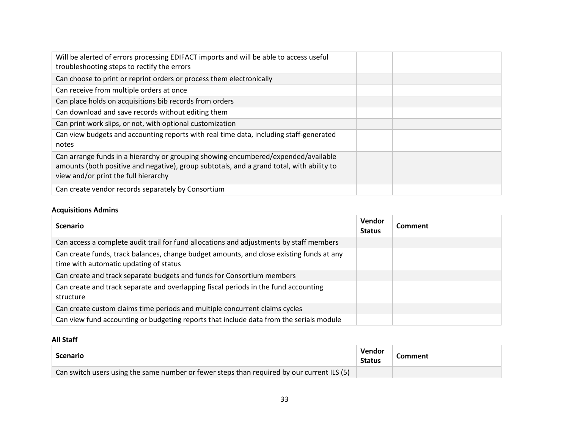| Will be alerted of errors processing EDIFACT imports and will be able to access useful<br>troubleshooting steps to rectify the errors                                                                                   |  |
|-------------------------------------------------------------------------------------------------------------------------------------------------------------------------------------------------------------------------|--|
| Can choose to print or reprint orders or process them electronically                                                                                                                                                    |  |
| Can receive from multiple orders at once                                                                                                                                                                                |  |
| Can place holds on acquisitions bib records from orders                                                                                                                                                                 |  |
| Can download and save records without editing them                                                                                                                                                                      |  |
| Can print work slips, or not, with optional customization                                                                                                                                                               |  |
| Can view budgets and accounting reports with real time data, including staff-generated<br>notes                                                                                                                         |  |
| Can arrange funds in a hierarchy or grouping showing encumbered/expended/available<br>amounts (both positive and negative), group subtotals, and a grand total, with ability to<br>view and/or print the full hierarchy |  |
| Can create vendor records separately by Consortium                                                                                                                                                                      |  |

## **Acquisitions Admins**

| <b>Scenario</b>                                                                                                                    | Vendor<br><b>Status</b> | Comment |
|------------------------------------------------------------------------------------------------------------------------------------|-------------------------|---------|
| Can access a complete audit trail for fund allocations and adjustments by staff members                                            |                         |         |
| Can create funds, track balances, change budget amounts, and close existing funds at any<br>time with automatic updating of status |                         |         |
| Can create and track separate budgets and funds for Consortium members                                                             |                         |         |
| Can create and track separate and overlapping fiscal periods in the fund accounting<br>structure                                   |                         |         |
| Can create custom claims time periods and multiple concurrent claims cycles                                                        |                         |         |
| Can view fund accounting or budgeting reports that include data from the serials module                                            |                         |         |

### **All Staff**

| <b>Scenario</b>                                                                                         | Vendor<br><b>Status</b> | Comment |
|---------------------------------------------------------------------------------------------------------|-------------------------|---------|
| <sup>'</sup> Can switch users using the same number or fewer steps than required by our current ILS (5) |                         |         |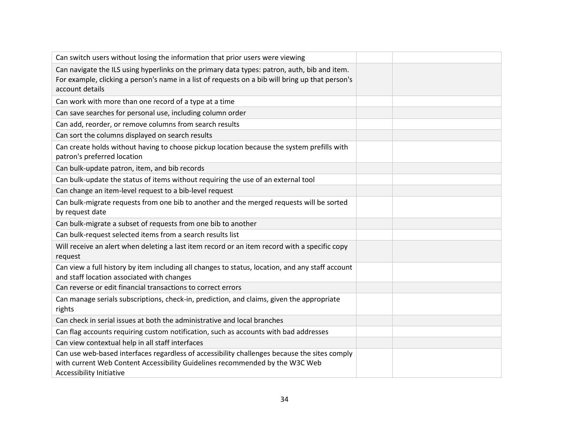| Can switch users without losing the information that prior users were viewing                                                                                                                                       |  |
|---------------------------------------------------------------------------------------------------------------------------------------------------------------------------------------------------------------------|--|
| Can navigate the ILS using hyperlinks on the primary data types: patron, auth, bib and item.<br>For example, clicking a person's name in a list of requests on a bib will bring up that person's<br>account details |  |
| Can work with more than one record of a type at a time                                                                                                                                                              |  |
| Can save searches for personal use, including column order                                                                                                                                                          |  |
| Can add, reorder, or remove columns from search results                                                                                                                                                             |  |
| Can sort the columns displayed on search results                                                                                                                                                                    |  |
| Can create holds without having to choose pickup location because the system prefills with<br>patron's preferred location                                                                                           |  |
| Can bulk-update patron, item, and bib records                                                                                                                                                                       |  |
| Can bulk-update the status of items without requiring the use of an external tool                                                                                                                                   |  |
| Can change an item-level request to a bib-level request                                                                                                                                                             |  |
| Can bulk-migrate requests from one bib to another and the merged requests will be sorted<br>by request date                                                                                                         |  |
| Can bulk-migrate a subset of requests from one bib to another                                                                                                                                                       |  |
| Can bulk-request selected items from a search results list                                                                                                                                                          |  |
| Will receive an alert when deleting a last item record or an item record with a specific copy<br>request                                                                                                            |  |
| Can view a full history by item including all changes to status, location, and any staff account<br>and staff location associated with changes                                                                      |  |
| Can reverse or edit financial transactions to correct errors                                                                                                                                                        |  |
| Can manage serials subscriptions, check-in, prediction, and claims, given the appropriate<br>rights                                                                                                                 |  |
| Can check in serial issues at both the administrative and local branches                                                                                                                                            |  |
| Can flag accounts requiring custom notification, such as accounts with bad addresses                                                                                                                                |  |
| Can view contextual help in all staff interfaces                                                                                                                                                                    |  |
| Can use web-based interfaces regardless of accessibility challenges because the sites comply<br>with current Web Content Accessibility Guidelines recommended by the W3C Web<br>Accessibility Initiative            |  |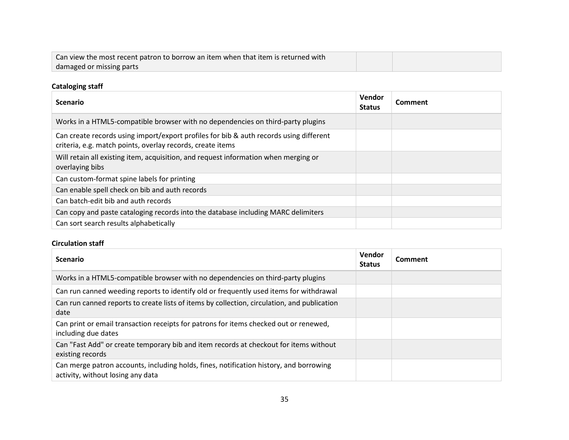| Can view the most recent patron to borrow an item when that item is returned with |  |
|-----------------------------------------------------------------------------------|--|
| damaged or missing parts                                                          |  |

## **Cataloging staff**

| <b>Scenario</b>                                                                                                                                      | Vendor<br><b>Status</b> | Comment |
|------------------------------------------------------------------------------------------------------------------------------------------------------|-------------------------|---------|
| Works in a HTML5-compatible browser with no dependencies on third-party plugins                                                                      |                         |         |
| Can create records using import/export profiles for bib & auth records using different<br>criteria, e.g. match points, overlay records, create items |                         |         |
| Will retain all existing item, acquisition, and request information when merging or<br>overlaying bibs                                               |                         |         |
| Can custom-format spine labels for printing                                                                                                          |                         |         |
| Can enable spell check on bib and auth records                                                                                                       |                         |         |
| Can batch-edit bib and auth records                                                                                                                  |                         |         |
| Can copy and paste cataloging records into the database including MARC delimiters                                                                    |                         |         |
| Can sort search results alphabetically                                                                                                               |                         |         |

### **Circulation staff**

| <b>Scenario</b>                                                                                                             | Vendor<br><b>Status</b> | Comment |
|-----------------------------------------------------------------------------------------------------------------------------|-------------------------|---------|
| Works in a HTML5-compatible browser with no dependencies on third-party plugins                                             |                         |         |
| Can run canned weeding reports to identify old or frequently used items for withdrawal                                      |                         |         |
| Can run canned reports to create lists of items by collection, circulation, and publication<br>date                         |                         |         |
| Can print or email transaction receipts for patrons for items checked out or renewed,<br>including due dates                |                         |         |
| Can "Fast Add" or create temporary bib and item records at checkout for items without<br>existing records                   |                         |         |
| Can merge patron accounts, including holds, fines, notification history, and borrowing<br>activity, without losing any data |                         |         |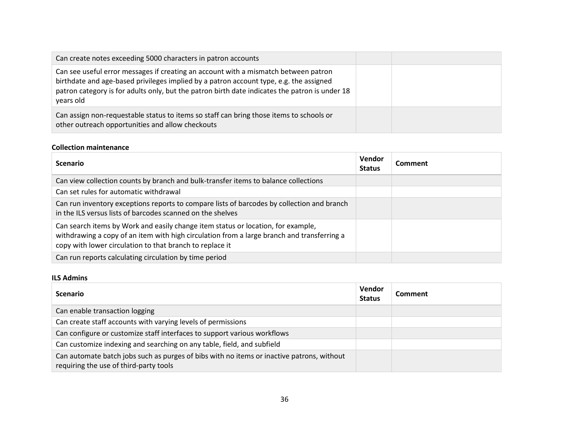| Can create notes exceeding 5000 characters in patron accounts                                                                                                                                                                                                                                |  |
|----------------------------------------------------------------------------------------------------------------------------------------------------------------------------------------------------------------------------------------------------------------------------------------------|--|
| Can see useful error messages if creating an account with a mismatch between patron<br>birthdate and age-based privileges implied by a patron account type, e.g. the assigned<br>patron category is for adults only, but the patron birth date indicates the patron is under 18<br>years old |  |
| Can assign non-requestable status to items so staff can bring those items to schools or<br>other outreach opportunities and allow checkouts                                                                                                                                                  |  |

#### **Collection maintenance**

| <b>Scenario</b>                                                                                                                                                                                                                            | Vendor<br><b>Status</b> | Comment |
|--------------------------------------------------------------------------------------------------------------------------------------------------------------------------------------------------------------------------------------------|-------------------------|---------|
| Can view collection counts by branch and bulk-transfer items to balance collections                                                                                                                                                        |                         |         |
| Can set rules for automatic withdrawal                                                                                                                                                                                                     |                         |         |
| Can run inventory exceptions reports to compare lists of barcodes by collection and branch<br>in the ILS versus lists of barcodes scanned on the shelves                                                                                   |                         |         |
| Can search items by Work and easily change item status or location, for example,<br>withdrawing a copy of an item with high circulation from a large branch and transferring a<br>copy with lower circulation to that branch to replace it |                         |         |
| Can run reports calculating circulation by time period                                                                                                                                                                                     |                         |         |

#### **ILS Admins**

| <b>Scenario</b>                                                                                                                     | Vendor<br><b>Status</b> | <b>Comment</b> |
|-------------------------------------------------------------------------------------------------------------------------------------|-------------------------|----------------|
| Can enable transaction logging                                                                                                      |                         |                |
| Can create staff accounts with varying levels of permissions                                                                        |                         |                |
| Can configure or customize staff interfaces to support various workflows                                                            |                         |                |
| Can customize indexing and searching on any table, field, and subfield                                                              |                         |                |
| Can automate batch jobs such as purges of bibs with no items or inactive patrons, without<br>requiring the use of third-party tools |                         |                |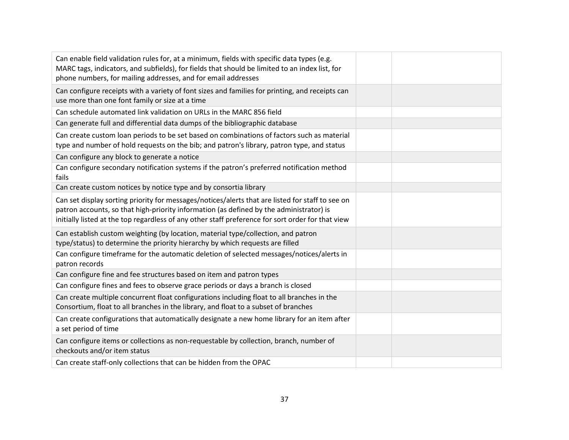| Can enable field validation rules for, at a minimum, fields with specific data types (e.g.<br>MARC tags, indicators, and subfields), for fields that should be limited to an index list, for<br>phone numbers, for mailing addresses, and for email addresses                                    |  |
|--------------------------------------------------------------------------------------------------------------------------------------------------------------------------------------------------------------------------------------------------------------------------------------------------|--|
| Can configure receipts with a variety of font sizes and families for printing, and receipts can<br>use more than one font family or size at a time                                                                                                                                               |  |
| Can schedule automated link validation on URLs in the MARC 856 field                                                                                                                                                                                                                             |  |
| Can generate full and differential data dumps of the bibliographic database                                                                                                                                                                                                                      |  |
| Can create custom loan periods to be set based on combinations of factors such as material<br>type and number of hold requests on the bib; and patron's library, patron type, and status                                                                                                         |  |
| Can configure any block to generate a notice                                                                                                                                                                                                                                                     |  |
| Can configure secondary notification systems if the patron's preferred notification method<br>fails                                                                                                                                                                                              |  |
| Can create custom notices by notice type and by consortia library                                                                                                                                                                                                                                |  |
| Can set display sorting priority for messages/notices/alerts that are listed for staff to see on<br>patron accounts, so that high-priority information (as defined by the administrator) is<br>initially listed at the top regardless of any other staff preference for sort order for that view |  |
| Can establish custom weighting (by location, material type/collection, and patron<br>type/status) to determine the priority hierarchy by which requests are filled                                                                                                                               |  |
| Can configure timeframe for the automatic deletion of selected messages/notices/alerts in<br>patron records                                                                                                                                                                                      |  |
| Can configure fine and fee structures based on item and patron types                                                                                                                                                                                                                             |  |
| Can configure fines and fees to observe grace periods or days a branch is closed                                                                                                                                                                                                                 |  |
| Can create multiple concurrent float configurations including float to all branches in the<br>Consortium, float to all branches in the library, and float to a subset of branches                                                                                                                |  |
| Can create configurations that automatically designate a new home library for an item after<br>a set period of time                                                                                                                                                                              |  |
| Can configure items or collections as non-requestable by collection, branch, number of<br>checkouts and/or item status                                                                                                                                                                           |  |
| Can create staff-only collections that can be hidden from the OPAC                                                                                                                                                                                                                               |  |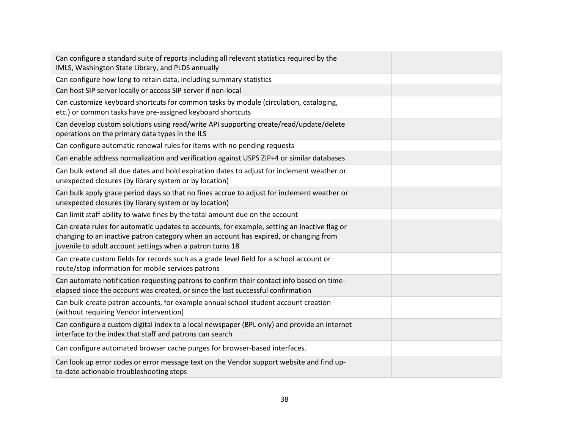| Can configure a standard suite of reports including all relevant statistics required by the<br>IMLS, Washington State Library, and PLDS annually                                                                                                   |  |
|----------------------------------------------------------------------------------------------------------------------------------------------------------------------------------------------------------------------------------------------------|--|
| Can configure how long to retain data, including summary statistics                                                                                                                                                                                |  |
| Can host SIP server locally or access SIP server if non-local                                                                                                                                                                                      |  |
| Can customize keyboard shortcuts for common tasks by module (circulation, cataloging,<br>etc.) or common tasks have pre-assigned keyboard shortcuts                                                                                                |  |
| Can develop custom solutions using read/write API supporting create/read/update/delete<br>operations on the primary data types in the ILS                                                                                                          |  |
| Can configure automatic renewal rules for items with no pending requests                                                                                                                                                                           |  |
| Can enable address normalization and verification against USPS ZIP+4 or similar databases                                                                                                                                                          |  |
| Can bulk extend all due dates and hold expiration dates to adjust for inclement weather or<br>unexpected closures (by library system or by location)                                                                                               |  |
| Can bulk apply grace period days so that no fines accrue to adjust for inclement weather or<br>unexpected closures (by library system or by location)                                                                                              |  |
| Can limit staff ability to waive fines by the total amount due on the account                                                                                                                                                                      |  |
| Can create rules for automatic updates to accounts, for example, setting an inactive flag or<br>changing to an inactive patron category when an account has expired, or changing from<br>juvenile to adult account settings when a patron turns 18 |  |
| Can create custom fields for records such as a grade level field for a school account or<br>route/stop information for mobile services patrons                                                                                                     |  |
| Can automate notification requesting patrons to confirm their contact info based on time-<br>elapsed since the account was created, or since the last successful confirmation                                                                      |  |
| Can bulk-create patron accounts, for example annual school student account creation<br>(without requiring Vendor intervention)                                                                                                                     |  |
| Can configure a custom digital index to a local newspaper (BPL only) and provide an internet<br>interface to the index that staff and patrons can search                                                                                           |  |
| Can configure automated browser cache purges for browser-based interfaces.                                                                                                                                                                         |  |
| Can look up error codes or error message text on the Vendor support website and find up-<br>to-date actionable troubleshooting steps                                                                                                               |  |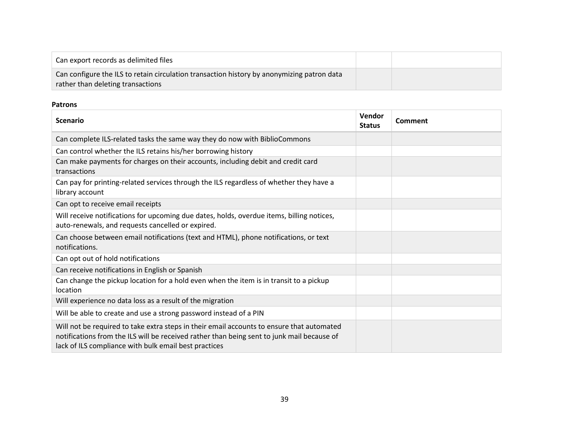| Can export records as delimited files                                                                                           |  |
|---------------------------------------------------------------------------------------------------------------------------------|--|
| Can configure the ILS to retain circulation transaction history by anonymizing patron data<br>rather than deleting transactions |  |

### **Patrons**

| <b>Scenario</b>                                                                                                                                                                                                                                  | Vendor<br><b>Status</b> | Comment |
|--------------------------------------------------------------------------------------------------------------------------------------------------------------------------------------------------------------------------------------------------|-------------------------|---------|
| Can complete ILS-related tasks the same way they do now with BiblioCommons                                                                                                                                                                       |                         |         |
| Can control whether the ILS retains his/her borrowing history                                                                                                                                                                                    |                         |         |
| Can make payments for charges on their accounts, including debit and credit card<br>transactions                                                                                                                                                 |                         |         |
| Can pay for printing-related services through the ILS regardless of whether they have a<br>library account                                                                                                                                       |                         |         |
| Can opt to receive email receipts                                                                                                                                                                                                                |                         |         |
| Will receive notifications for upcoming due dates, holds, overdue items, billing notices,<br>auto-renewals, and requests cancelled or expired.                                                                                                   |                         |         |
| Can choose between email notifications (text and HTML), phone notifications, or text<br>notifications.                                                                                                                                           |                         |         |
| Can opt out of hold notifications                                                                                                                                                                                                                |                         |         |
| Can receive notifications in English or Spanish                                                                                                                                                                                                  |                         |         |
| Can change the pickup location for a hold even when the item is in transit to a pickup<br>location                                                                                                                                               |                         |         |
| Will experience no data loss as a result of the migration                                                                                                                                                                                        |                         |         |
| Will be able to create and use a strong password instead of a PIN                                                                                                                                                                                |                         |         |
| Will not be required to take extra steps in their email accounts to ensure that automated<br>notifications from the ILS will be received rather than being sent to junk mail because of<br>lack of ILS compliance with bulk email best practices |                         |         |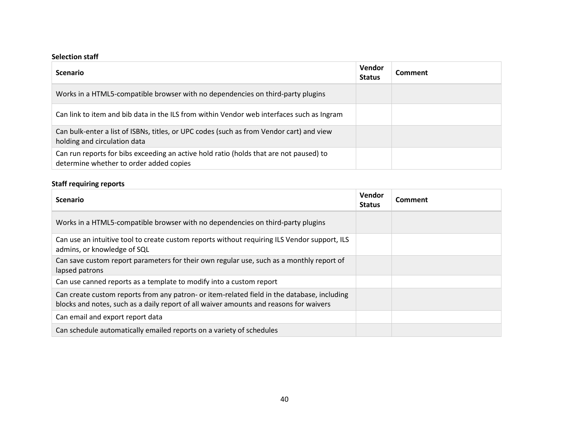### **Selection staff**

| <b>Scenario</b>                                                                                                                   | Vendor<br><b>Status</b> | Comment |
|-----------------------------------------------------------------------------------------------------------------------------------|-------------------------|---------|
| Works in a HTML5-compatible browser with no dependencies on third-party plugins                                                   |                         |         |
| Can link to item and bib data in the ILS from within Vendor web interfaces such as Ingram                                         |                         |         |
| Can bulk-enter a list of ISBNs, titles, or UPC codes (such as from Vendor cart) and view<br>holding and circulation data          |                         |         |
| Can run reports for bibs exceeding an active hold ratio (holds that are not paused) to<br>determine whether to order added copies |                         |         |

## **Staff requiring reports**

| <b>Scenario</b>                                                                                                                                                                       | Vendor<br><b>Status</b> | Comment |
|---------------------------------------------------------------------------------------------------------------------------------------------------------------------------------------|-------------------------|---------|
| Works in a HTML5-compatible browser with no dependencies on third-party plugins                                                                                                       |                         |         |
| Can use an intuitive tool to create custom reports without requiring ILS Vendor support, ILS<br>admins, or knowledge of SQL                                                           |                         |         |
| Can save custom report parameters for their own regular use, such as a monthly report of<br>lapsed patrons                                                                            |                         |         |
| Can use canned reports as a template to modify into a custom report                                                                                                                   |                         |         |
| Can create custom reports from any patron- or item-related field in the database, including<br>blocks and notes, such as a daily report of all waiver amounts and reasons for waivers |                         |         |
| Can email and export report data                                                                                                                                                      |                         |         |
| Can schedule automatically emailed reports on a variety of schedules                                                                                                                  |                         |         |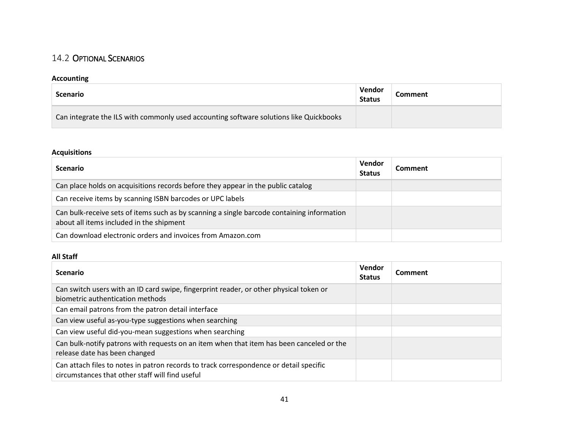# 14.2 OPTIONAL SCENARIOS

## **Accounting**

| <b>Scenario</b>                                                                        | Vendor<br><b>Status</b> | Comment |
|----------------------------------------------------------------------------------------|-------------------------|---------|
| Can integrate the ILS with commonly used accounting software solutions like Quickbooks |                         |         |

## **Acquisitions**

| <b>Scenario</b>                                                                                                                        | <b>Vendor</b><br><b>Status</b> | Comment |
|----------------------------------------------------------------------------------------------------------------------------------------|--------------------------------|---------|
| Can place holds on acquisitions records before they appear in the public catalog                                                       |                                |         |
| Can receive items by scanning ISBN barcodes or UPC labels                                                                              |                                |         |
| Can bulk-receive sets of items such as by scanning a single barcode containing information<br>about all items included in the shipment |                                |         |
| Can download electronic orders and invoices from Amazon.com                                                                            |                                |         |

### **All Staff**

| <b>Scenario</b>                                                                                                                           | Vendor<br><b>Status</b> | Comment |
|-------------------------------------------------------------------------------------------------------------------------------------------|-------------------------|---------|
| Can switch users with an ID card swipe, fingerprint reader, or other physical token or<br>biometric authentication methods                |                         |         |
| Can email patrons from the patron detail interface                                                                                        |                         |         |
| Can view useful as-you-type suggestions when searching                                                                                    |                         |         |
| Can view useful did-you-mean suggestions when searching                                                                                   |                         |         |
| Can bulk-notify patrons with requests on an item when that item has been canceled or the<br>release date has been changed                 |                         |         |
| Can attach files to notes in patron records to track correspondence or detail specific<br>circumstances that other staff will find useful |                         |         |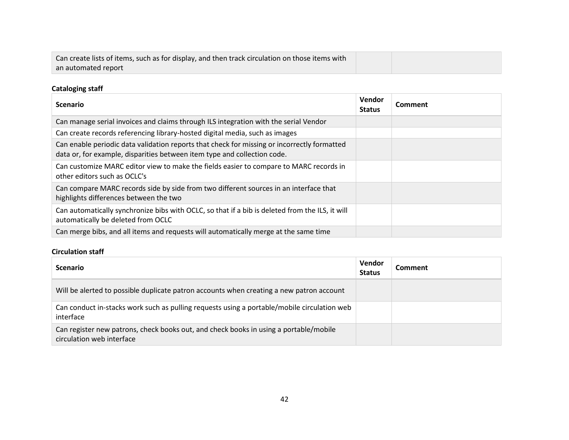| Can create lists of items, such as for display, and then track circulation on those items with |  |
|------------------------------------------------------------------------------------------------|--|
| an automated report                                                                            |  |

## **Cataloging staff**

| <b>Scenario</b>                                                                                                                                                         | <b>Vendor</b><br><b>Status</b> | Comment |
|-------------------------------------------------------------------------------------------------------------------------------------------------------------------------|--------------------------------|---------|
| Can manage serial invoices and claims through ILS integration with the serial Vendor                                                                                    |                                |         |
| Can create records referencing library-hosted digital media, such as images                                                                                             |                                |         |
| Can enable periodic data validation reports that check for missing or incorrectly formatted<br>data or, for example, disparities between item type and collection code. |                                |         |
| Can customize MARC editor view to make the fields easier to compare to MARC records in<br>other editors such as OCLC's                                                  |                                |         |
| Can compare MARC records side by side from two different sources in an interface that<br>highlights differences between the two                                         |                                |         |
| Can automatically synchronize bibs with OCLC, so that if a bib is deleted from the ILS, it will<br>automatically be deleted from OCLC                                   |                                |         |
| Can merge bibs, and all items and requests will automatically merge at the same time                                                                                    |                                |         |

## **Circulation staff**

| <b>Scenario</b>                                                                                                    | Vendor<br><b>Status</b> | Comment |
|--------------------------------------------------------------------------------------------------------------------|-------------------------|---------|
| Will be alerted to possible duplicate patron accounts when creating a new patron account                           |                         |         |
| Can conduct in-stacks work such as pulling requests using a portable/mobile circulation web<br>interface           |                         |         |
| Can register new patrons, check books out, and check books in using a portable/mobile<br>circulation web interface |                         |         |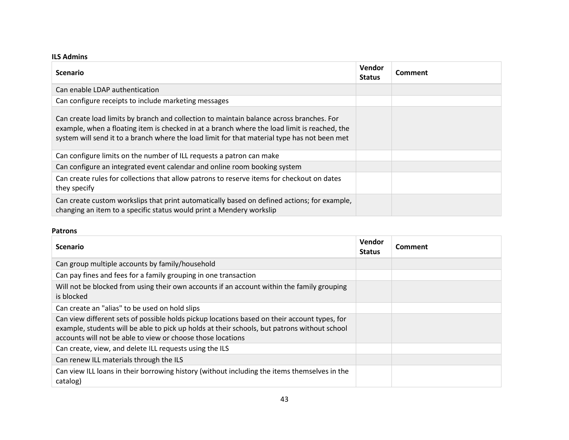### **ILS Admins**

| <b>Scenario</b>                                                                                                                                                                                                                                                                          | Vendor<br><b>Status</b> | <b>Comment</b> |
|------------------------------------------------------------------------------------------------------------------------------------------------------------------------------------------------------------------------------------------------------------------------------------------|-------------------------|----------------|
| Can enable LDAP authentication                                                                                                                                                                                                                                                           |                         |                |
| Can configure receipts to include marketing messages                                                                                                                                                                                                                                     |                         |                |
| Can create load limits by branch and collection to maintain balance across branches. For<br>example, when a floating item is checked in at a branch where the load limit is reached, the<br>system will send it to a branch where the load limit for that material type has not been met |                         |                |
| Can configure limits on the number of ILL requests a patron can make                                                                                                                                                                                                                     |                         |                |
| Can configure an integrated event calendar and online room booking system                                                                                                                                                                                                                |                         |                |
| Can create rules for collections that allow patrons to reserve items for checkout on dates<br>they specify                                                                                                                                                                               |                         |                |
| Can create custom workslips that print automatically based on defined actions; for example,<br>changing an item to a specific status would print a Mendery workslip                                                                                                                      |                         |                |

### **Patrons**

| <b>Scenario</b>                                                                                                                                                                                                                                             | <b>Vendor</b><br><b>Status</b> | Comment |
|-------------------------------------------------------------------------------------------------------------------------------------------------------------------------------------------------------------------------------------------------------------|--------------------------------|---------|
| Can group multiple accounts by family/household                                                                                                                                                                                                             |                                |         |
| Can pay fines and fees for a family grouping in one transaction                                                                                                                                                                                             |                                |         |
| Will not be blocked from using their own accounts if an account within the family grouping<br>is blocked                                                                                                                                                    |                                |         |
| Can create an "alias" to be used on hold slips                                                                                                                                                                                                              |                                |         |
| Can view different sets of possible holds pickup locations based on their account types, for<br>example, students will be able to pick up holds at their schools, but patrons without school<br>accounts will not be able to view or choose those locations |                                |         |
| Can create, view, and delete ILL requests using the ILS                                                                                                                                                                                                     |                                |         |
| Can renew ILL materials through the ILS                                                                                                                                                                                                                     |                                |         |
| Can view ILL loans in their borrowing history (without including the items themselves in the<br>catalog)                                                                                                                                                    |                                |         |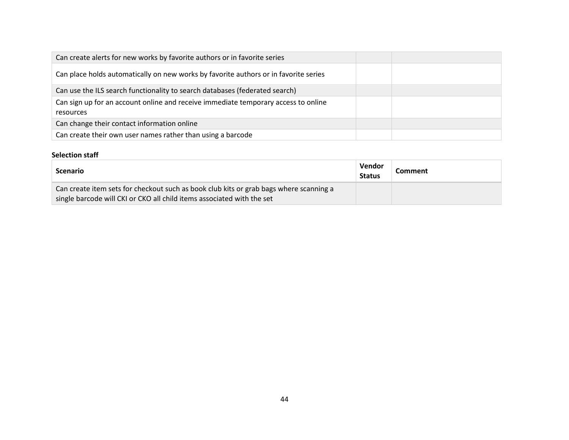| Can create alerts for new works by favorite authors or in favorite series                       |  |
|-------------------------------------------------------------------------------------------------|--|
| Can place holds automatically on new works by favorite authors or in favorite series            |  |
| Can use the ILS search functionality to search databases (federated search)                     |  |
| Can sign up for an account online and receive immediate temporary access to online<br>resources |  |
| Can change their contact information online                                                     |  |
| Can create their own user names rather than using a barcode                                     |  |

### **Selection staff**

| <b>Scenario</b>                                                                                                                                                  | Vendor<br><b>Status</b> | <b>Comment</b> |
|------------------------------------------------------------------------------------------------------------------------------------------------------------------|-------------------------|----------------|
| Can create item sets for checkout such as book club kits or grab bags where scanning a<br>single barcode will CKI or CKO all child items associated with the set |                         |                |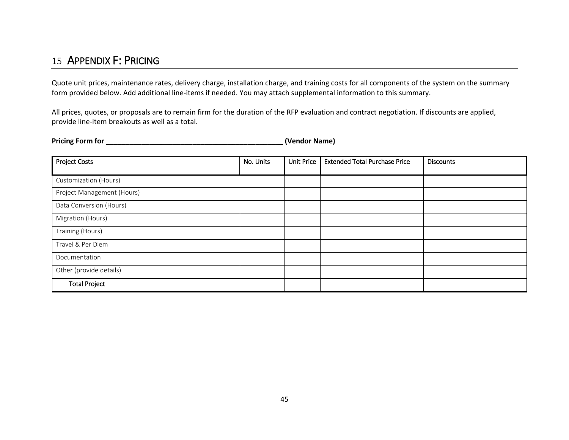# 15 APPENDIX F: PRICING

Quote unit prices, maintenance rates, delivery charge, installation charge, and training costs for all components of the system on the summary form provided below. Add additional line-items if needed. You may attach supplemental information to this summary.

All prices, quotes, or proposals are to remain firm for the duration of the RFP evaluation and contract negotiation. If discounts are applied, provide line-item breakouts as well as a total.

**Pricing Form for \_\_\_\_\_\_\_\_\_\_\_\_\_\_\_\_\_\_\_\_\_\_\_\_\_\_\_\_\_\_\_\_\_\_\_\_\_\_\_\_\_\_\_\_\_ (Vendor Name)**

<span id="page-44-0"></span>

| <b>Project Costs</b>       | No. Units | <b>Unit Price</b> | <b>Extended Total Purchase Price</b> | <b>Discounts</b> |
|----------------------------|-----------|-------------------|--------------------------------------|------------------|
|                            |           |                   |                                      |                  |
| Customization (Hours)      |           |                   |                                      |                  |
| Project Management (Hours) |           |                   |                                      |                  |
| Data Conversion (Hours)    |           |                   |                                      |                  |
| Migration (Hours)          |           |                   |                                      |                  |
| Training (Hours)           |           |                   |                                      |                  |
| Travel & Per Diem          |           |                   |                                      |                  |
| Documentation              |           |                   |                                      |                  |
| Other (provide details)    |           |                   |                                      |                  |
| <b>Total Project</b>       |           |                   |                                      |                  |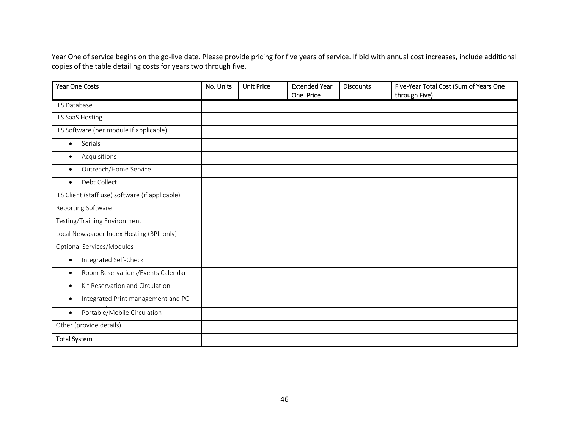Year One of service begins on the go-live date. Please provide pricing for five years of service. If bid with annual cost increases, include additional copies of the table detailing costs for years two through five.

| <b>Year One Costs</b>                           | No. Units | <b>Unit Price</b> | <b>Extended Year</b><br>One Price | <b>Discounts</b> | Five-Year Total Cost (Sum of Years One<br>through Five) |
|-------------------------------------------------|-----------|-------------------|-----------------------------------|------------------|---------------------------------------------------------|
| ILS Database                                    |           |                   |                                   |                  |                                                         |
| ILS SaaS Hosting                                |           |                   |                                   |                  |                                                         |
| ILS Software (per module if applicable)         |           |                   |                                   |                  |                                                         |
| Serials<br>$\bullet$                            |           |                   |                                   |                  |                                                         |
| Acquisitions<br>$\bullet$                       |           |                   |                                   |                  |                                                         |
| Outreach/Home Service<br>$\bullet$              |           |                   |                                   |                  |                                                         |
| Debt Collect<br>$\bullet$                       |           |                   |                                   |                  |                                                         |
| ILS Client (staff use) software (if applicable) |           |                   |                                   |                  |                                                         |
| Reporting Software                              |           |                   |                                   |                  |                                                         |
| Testing/Training Environment                    |           |                   |                                   |                  |                                                         |
| Local Newspaper Index Hosting (BPL-only)        |           |                   |                                   |                  |                                                         |
| Optional Services/Modules                       |           |                   |                                   |                  |                                                         |
| Integrated Self-Check<br>$\bullet$              |           |                   |                                   |                  |                                                         |
| Room Reservations/Events Calendar<br>$\bullet$  |           |                   |                                   |                  |                                                         |
| Kit Reservation and Circulation<br>$\bullet$    |           |                   |                                   |                  |                                                         |
| Integrated Print management and PC<br>$\bullet$ |           |                   |                                   |                  |                                                         |
| Portable/Mobile Circulation<br>$\bullet$        |           |                   |                                   |                  |                                                         |
| Other (provide details)                         |           |                   |                                   |                  |                                                         |
| <b>Total System</b>                             |           |                   |                                   |                  |                                                         |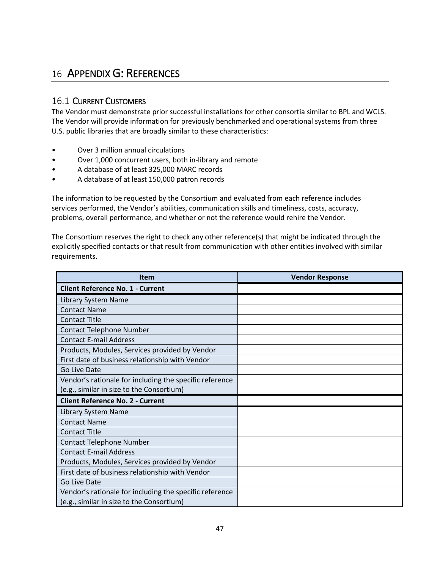# <span id="page-46-0"></span>16 APPENDIX G: REFERENCES

# 16.1 CURRENT CUSTOMERS

The Vendor must demonstrate prior successful installations for other consortia similar to BPL and WCLS. The Vendor will provide information for previously benchmarked and operational systems from three U.S. public libraries that are broadly similar to these characteristics:

- Over 3 million annual circulations
- Over 1,000 concurrent users, both in-library and remote
- A database of at least 325,000 MARC records
- A database of at least 150,000 patron records

The information to be requested by the Consortium and evaluated from each reference includes services performed, the Vendor's abilities, communication skills and timeliness, costs, accuracy, problems, overall performance, and whether or not the reference would rehire the Vendor.

The Consortium reserves the right to check any other reference(s) that might be indicated through the explicitly specified contacts or that result from communication with other entities involved with similar requirements.

| <b>Item</b>                                             | <b>Vendor Response</b> |
|---------------------------------------------------------|------------------------|
| <b>Client Reference No. 1 - Current</b>                 |                        |
| Library System Name                                     |                        |
| <b>Contact Name</b>                                     |                        |
| <b>Contact Title</b>                                    |                        |
| <b>Contact Telephone Number</b>                         |                        |
| <b>Contact E-mail Address</b>                           |                        |
| Products, Modules, Services provided by Vendor          |                        |
| First date of business relationship with Vendor         |                        |
| Go Live Date                                            |                        |
| Vendor's rationale for including the specific reference |                        |
| (e.g., similar in size to the Consortium)               |                        |
| <b>Client Reference No. 2 - Current</b>                 |                        |
| Library System Name                                     |                        |
| <b>Contact Name</b>                                     |                        |
| <b>Contact Title</b>                                    |                        |
| <b>Contact Telephone Number</b>                         |                        |
| <b>Contact E-mail Address</b>                           |                        |
| Products, Modules, Services provided by Vendor          |                        |
| First date of business relationship with Vendor         |                        |
| Go Live Date                                            |                        |
| Vendor's rationale for including the specific reference |                        |
| (e.g., similar in size to the Consortium)               |                        |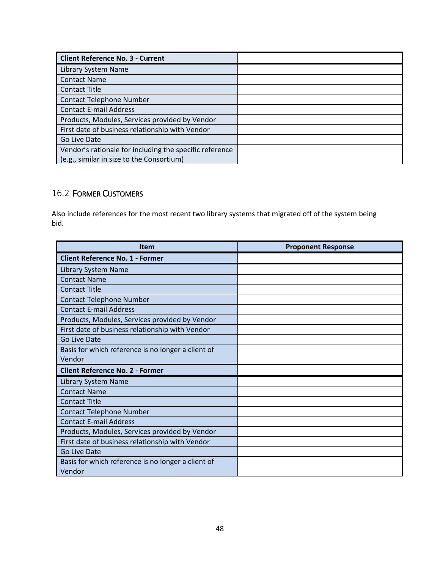| <b>Client Reference No. 3 - Current</b>                 |  |
|---------------------------------------------------------|--|
| Library System Name                                     |  |
| <b>Contact Name</b>                                     |  |
| <b>Contact Title</b>                                    |  |
| <b>Contact Telephone Number</b>                         |  |
| <b>Contact E-mail Address</b>                           |  |
| Products, Modules, Services provided by Vendor          |  |
| First date of business relationship with Vendor         |  |
| Go Live Date                                            |  |
| Vendor's rationale for including the specific reference |  |
| (e.g., similar in size to the Consortium)               |  |

# 16.2 FORMER CUSTOMERS

Also include references for the most recent two library systems that migrated off of the system being bid.

| <b>Item</b>                                        | <b>Proponent Response</b> |
|----------------------------------------------------|---------------------------|
| <b>Client Reference No. 1 - Former</b>             |                           |
| Library System Name                                |                           |
| <b>Contact Name</b>                                |                           |
| <b>Contact Title</b>                               |                           |
| <b>Contact Telephone Number</b>                    |                           |
| <b>Contact E-mail Address</b>                      |                           |
| Products, Modules, Services provided by Vendor     |                           |
| First date of business relationship with Vendor    |                           |
| Go Live Date                                       |                           |
| Basis for which reference is no longer a client of |                           |
| Vendor                                             |                           |
| <b>Client Reference No. 2 - Former</b>             |                           |
| Library System Name                                |                           |
| <b>Contact Name</b>                                |                           |
| <b>Contact Title</b>                               |                           |
| <b>Contact Telephone Number</b>                    |                           |
| <b>Contact E-mail Address</b>                      |                           |
| Products, Modules, Services provided by Vendor     |                           |
| First date of business relationship with Vendor    |                           |
| Go Live Date                                       |                           |
| Basis for which reference is no longer a client of |                           |
| Vendor                                             |                           |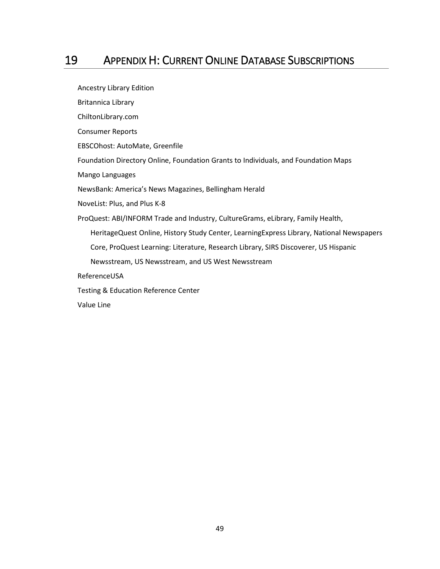# <span id="page-48-0"></span>19 APPENDIX H: CURRENT ONLINE DATABASE SUBSCRIPTIONS

Ancestry Library Edition Britannica Library ChiltonLibrary.com Consumer Reports EBSCOhost: AutoMate, Greenfile Foundation Directory Online, Foundation Grants to Individuals, and Foundation Maps Mango Languages NewsBank: America's News Magazines, Bellingham Herald NoveList: Plus, and Plus K-8 ProQuest: ABI/INFORM Trade and Industry, CultureGrams, eLibrary, Family Health, HeritageQuest Online, History Study Center, LearningExpress Library, National Newspapers Core, ProQuest Learning: Literature, Research Library, SIRS Discoverer, US Hispanic Newsstream, US Newsstream, and US West Newsstream ReferenceUSA Testing & Education Reference Center Value Line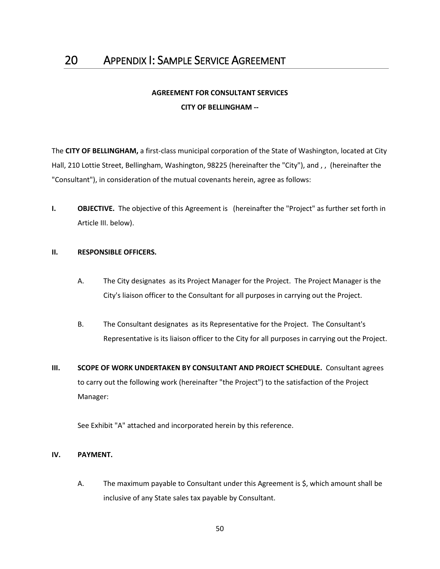# **AGREEMENT FOR CONSULTANT SERVICES CITY OF BELLINGHAM --**

<span id="page-49-0"></span>The **CITY OF BELLINGHAM,** a first-class municipal corporation of the State of Washington, located at City Hall, 210 Lottie Street, Bellingham, Washington, 98225 (hereinafter the "City"), and , , (hereinafter the "Consultant"), in consideration of the mutual covenants herein, agree as follows:

**I. OBJECTIVE.** The objective of this Agreement is (hereinafter the "Project" as further set forth in Article III. below).

#### **II. RESPONSIBLE OFFICERS.**

- A. The City designates as its Project Manager for the Project. The Project Manager is the City's liaison officer to the Consultant for all purposes in carrying out the Project.
- B. The Consultant designates as its Representative for the Project. The Consultant's Representative is its liaison officer to the City for all purposes in carrying out the Project.
- **III. SCOPE OF WORK UNDERTAKEN BY CONSULTANT AND PROJECT SCHEDULE.** Consultant agrees to carry out the following work (hereinafter "the Project") to the satisfaction of the Project Manager:

See Exhibit "A" attached and incorporated herein by this reference.

#### **IV. PAYMENT.**

A. The maximum payable to Consultant under this Agreement is \$, which amount shall be inclusive of any State sales tax payable by Consultant.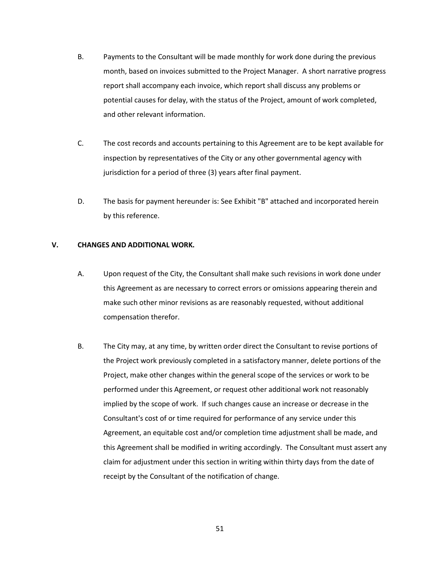- B. Payments to the Consultant will be made monthly for work done during the previous month, based on invoices submitted to the Project Manager. A short narrative progress report shall accompany each invoice, which report shall discuss any problems or potential causes for delay, with the status of the Project, amount of work completed, and other relevant information.
- C. The cost records and accounts pertaining to this Agreement are to be kept available for inspection by representatives of the City or any other governmental agency with jurisdiction for a period of three (3) years after final payment.
- D. The basis for payment hereunder is: See Exhibit "B" attached and incorporated herein by this reference.

#### **V. CHANGES AND ADDITIONAL WORK.**

- A. Upon request of the City, the Consultant shall make such revisions in work done under this Agreement as are necessary to correct errors or omissions appearing therein and make such other minor revisions as are reasonably requested, without additional compensation therefor.
- B. The City may, at any time, by written order direct the Consultant to revise portions of the Project work previously completed in a satisfactory manner, delete portions of the Project, make other changes within the general scope of the services or work to be performed under this Agreement, or request other additional work not reasonably implied by the scope of work. If such changes cause an increase or decrease in the Consultant's cost of or time required for performance of any service under this Agreement, an equitable cost and/or completion time adjustment shall be made, and this Agreement shall be modified in writing accordingly. The Consultant must assert any claim for adjustment under this section in writing within thirty days from the date of receipt by the Consultant of the notification of change.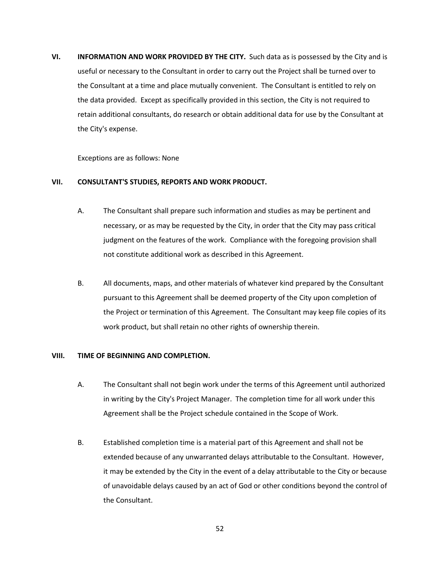**VI. INFORMATION AND WORK PROVIDED BY THE CITY.** Such data as is possessed by the City and is useful or necessary to the Consultant in order to carry out the Project shall be turned over to the Consultant at a time and place mutually convenient. The Consultant is entitled to rely on the data provided. Except as specifically provided in this section, the City is not required to retain additional consultants, do research or obtain additional data for use by the Consultant at the City's expense.

Exceptions are as follows: None

#### **VII. CONSULTANT'S STUDIES, REPORTS AND WORK PRODUCT.**

- A. The Consultant shall prepare such information and studies as may be pertinent and necessary, or as may be requested by the City, in order that the City may pass critical judgment on the features of the work. Compliance with the foregoing provision shall not constitute additional work as described in this Agreement.
- B. All documents, maps, and other materials of whatever kind prepared by the Consultant pursuant to this Agreement shall be deemed property of the City upon completion of the Project or termination of this Agreement. The Consultant may keep file copies of its work product, but shall retain no other rights of ownership therein.

#### **VIII. TIME OF BEGINNING AND COMPLETION.**

- A. The Consultant shall not begin work under the terms of this Agreement until authorized in writing by the City's Project Manager. The completion time for all work under this Agreement shall be the Project schedule contained in the Scope of Work.
- B. Established completion time is a material part of this Agreement and shall not be extended because of any unwarranted delays attributable to the Consultant. However, it may be extended by the City in the event of a delay attributable to the City or because of unavoidable delays caused by an act of God or other conditions beyond the control of the Consultant.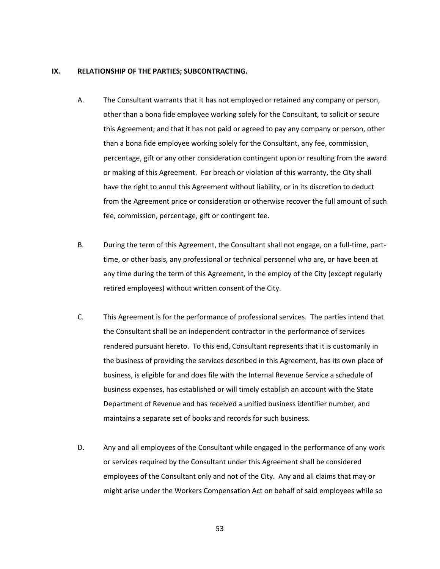#### **IX. RELATIONSHIP OF THE PARTIES; SUBCONTRACTING.**

- A. The Consultant warrants that it has not employed or retained any company or person, other than a bona fide employee working solely for the Consultant, to solicit or secure this Agreement; and that it has not paid or agreed to pay any company or person, other than a bona fide employee working solely for the Consultant, any fee, commission, percentage, gift or any other consideration contingent upon or resulting from the award or making of this Agreement. For breach or violation of this warranty, the City shall have the right to annul this Agreement without liability, or in its discretion to deduct from the Agreement price or consideration or otherwise recover the full amount of such fee, commission, percentage, gift or contingent fee.
- B. During the term of this Agreement, the Consultant shall not engage, on a full-time, parttime, or other basis, any professional or technical personnel who are, or have been at any time during the term of this Agreement, in the employ of the City (except regularly retired employees) without written consent of the City.
- C. This Agreement is for the performance of professional services. The parties intend that the Consultant shall be an independent contractor in the performance of services rendered pursuant hereto. To this end, Consultant represents that it is customarily in the business of providing the services described in this Agreement, has its own place of business, is eligible for and does file with the Internal Revenue Service a schedule of business expenses, has established or will timely establish an account with the State Department of Revenue and has received a unified business identifier number, and maintains a separate set of books and records for such business.
- D. Any and all employees of the Consultant while engaged in the performance of any work or services required by the Consultant under this Agreement shall be considered employees of the Consultant only and not of the City. Any and all claims that may or might arise under the Workers Compensation Act on behalf of said employees while so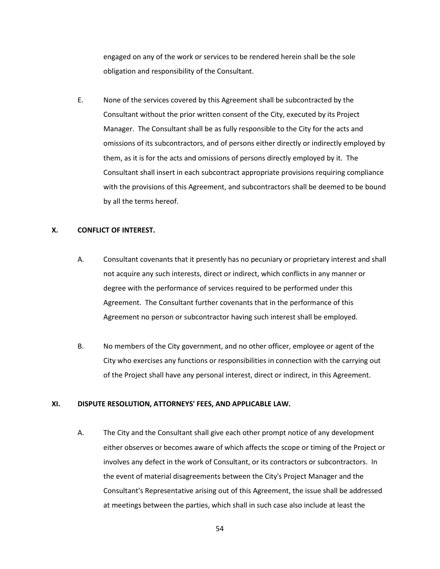engaged on any of the work or services to be rendered herein shall be the sole obligation and responsibility of the Consultant.

E. None of the services covered by this Agreement shall be subcontracted by the Consultant without the prior written consent of the City, executed by its Project Manager. The Consultant shall be as fully responsible to the City for the acts and omissions of its subcontractors, and of persons either directly or indirectly employed by them, as it is for the acts and omissions of persons directly employed by it. The Consultant shall insert in each subcontract appropriate provisions requiring compliance with the provisions of this Agreement, and subcontractors shall be deemed to be bound by all the terms hereof.

### **X. CONFLICT OF INTEREST.**

- A. Consultant covenants that it presently has no pecuniary or proprietary interest and shall not acquire any such interests, direct or indirect, which conflicts in any manner or degree with the performance of services required to be performed under this Agreement. The Consultant further covenants that in the performance of this Agreement no person or subcontractor having such interest shall be employed.
- B. No members of the City government, and no other officer, employee or agent of the City who exercises any functions or responsibilities in connection with the carrying out of the Project shall have any personal interest, direct or indirect, in this Agreement.

#### **XI. DISPUTE RESOLUTION, ATTORNEYS' FEES, AND APPLICABLE LAW.**

A. The City and the Consultant shall give each other prompt notice of any development either observes or becomes aware of which affects the scope or timing of the Project or involves any defect in the work of Consultant, or its contractors or subcontractors. In the event of material disagreements between the City's Project Manager and the Consultant's Representative arising out of this Agreement, the issue shall be addressed at meetings between the parties, which shall in such case also include at least the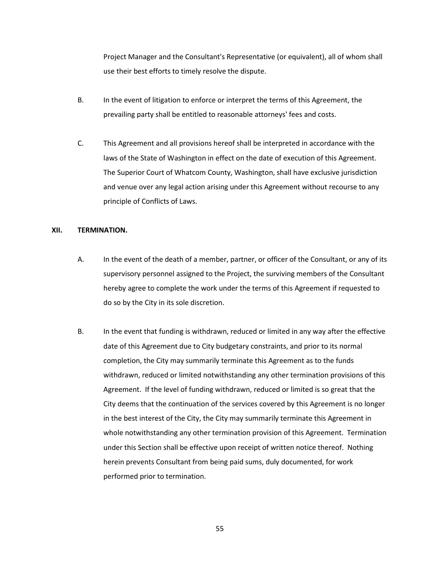Project Manager and the Consultant's Representative (or equivalent), all of whom shall use their best efforts to timely resolve the dispute.

- B. In the event of litigation to enforce or interpret the terms of this Agreement, the prevailing party shall be entitled to reasonable attorneys' fees and costs.
- C. This Agreement and all provisions hereof shall be interpreted in accordance with the laws of the State of Washington in effect on the date of execution of this Agreement. The Superior Court of Whatcom County, Washington, shall have exclusive jurisdiction and venue over any legal action arising under this Agreement without recourse to any principle of Conflicts of Laws.

#### **XII. TERMINATION.**

- A. In the event of the death of a member, partner, or officer of the Consultant, or any of its supervisory personnel assigned to the Project, the surviving members of the Consultant hereby agree to complete the work under the terms of this Agreement if requested to do so by the City in its sole discretion.
- B. In the event that funding is withdrawn, reduced or limited in any way after the effective date of this Agreement due to City budgetary constraints, and prior to its normal completion, the City may summarily terminate this Agreement as to the funds withdrawn, reduced or limited notwithstanding any other termination provisions of this Agreement. If the level of funding withdrawn, reduced or limited is so great that the City deems that the continuation of the services covered by this Agreement is no longer in the best interest of the City, the City may summarily terminate this Agreement in whole notwithstanding any other termination provision of this Agreement. Termination under this Section shall be effective upon receipt of written notice thereof. Nothing herein prevents Consultant from being paid sums, duly documented, for work performed prior to termination.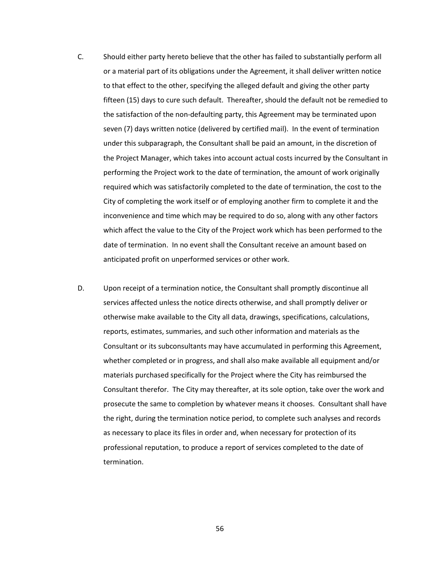- C. Should either party hereto believe that the other has failed to substantially perform all or a material part of its obligations under the Agreement, it shall deliver written notice to that effect to the other, specifying the alleged default and giving the other party fifteen (15) days to cure such default. Thereafter, should the default not be remedied to the satisfaction of the non-defaulting party, this Agreement may be terminated upon seven (7) days written notice (delivered by certified mail). In the event of termination under this subparagraph, the Consultant shall be paid an amount, in the discretion of the Project Manager, which takes into account actual costs incurred by the Consultant in performing the Project work to the date of termination, the amount of work originally required which was satisfactorily completed to the date of termination, the cost to the City of completing the work itself or of employing another firm to complete it and the inconvenience and time which may be required to do so, along with any other factors which affect the value to the City of the Project work which has been performed to the date of termination. In no event shall the Consultant receive an amount based on anticipated profit on unperformed services or other work.
- D. Upon receipt of a termination notice, the Consultant shall promptly discontinue all services affected unless the notice directs otherwise, and shall promptly deliver or otherwise make available to the City all data, drawings, specifications, calculations, reports, estimates, summaries, and such other information and materials as the Consultant or its subconsultants may have accumulated in performing this Agreement, whether completed or in progress, and shall also make available all equipment and/or materials purchased specifically for the Project where the City has reimbursed the Consultant therefor. The City may thereafter, at its sole option, take over the work and prosecute the same to completion by whatever means it chooses. Consultant shall have the right, during the termination notice period, to complete such analyses and records as necessary to place its files in order and, when necessary for protection of its professional reputation, to produce a report of services completed to the date of termination.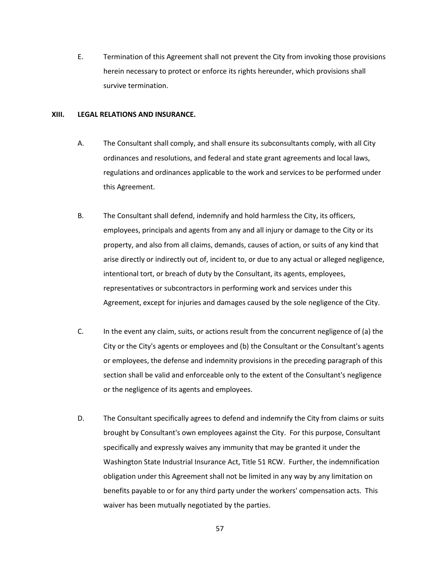E. Termination of this Agreement shall not prevent the City from invoking those provisions herein necessary to protect or enforce its rights hereunder, which provisions shall survive termination.

#### **XIII. LEGAL RELATIONS AND INSURANCE.**

- A. The Consultant shall comply, and shall ensure its subconsultants comply, with all City ordinances and resolutions, and federal and state grant agreements and local laws, regulations and ordinances applicable to the work and services to be performed under this Agreement.
- B. The Consultant shall defend, indemnify and hold harmless the City, its officers, employees, principals and agents from any and all injury or damage to the City or its property, and also from all claims, demands, causes of action, or suits of any kind that arise directly or indirectly out of, incident to, or due to any actual or alleged negligence, intentional tort, or breach of duty by the Consultant, its agents, employees, representatives or subcontractors in performing work and services under this Agreement, except for injuries and damages caused by the sole negligence of the City.
- C. In the event any claim, suits, or actions result from the concurrent negligence of (a) the City or the City's agents or employees and (b) the Consultant or the Consultant's agents or employees, the defense and indemnity provisions in the preceding paragraph of this section shall be valid and enforceable only to the extent of the Consultant's negligence or the negligence of its agents and employees.
- D. The Consultant specifically agrees to defend and indemnify the City from claims or suits brought by Consultant's own employees against the City. For this purpose, Consultant specifically and expressly waives any immunity that may be granted it under the Washington State Industrial Insurance Act, Title 51 RCW. Further, the indemnification obligation under this Agreement shall not be limited in any way by any limitation on benefits payable to or for any third party under the workers' compensation acts. This waiver has been mutually negotiated by the parties.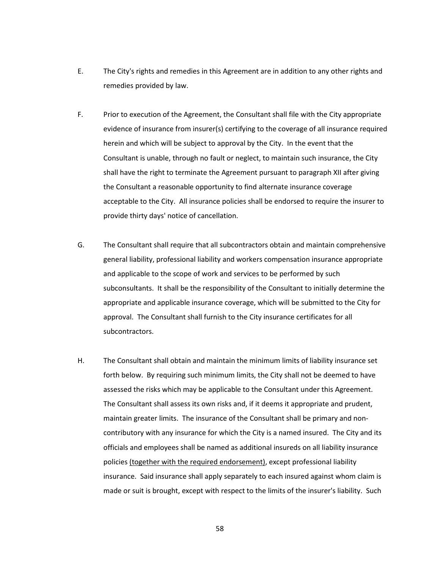- E. The City's rights and remedies in this Agreement are in addition to any other rights and remedies provided by law.
- F. Prior to execution of the Agreement, the Consultant shall file with the City appropriate evidence of insurance from insurer(s) certifying to the coverage of all insurance required herein and which will be subject to approval by the City. In the event that the Consultant is unable, through no fault or neglect, to maintain such insurance, the City shall have the right to terminate the Agreement pursuant to paragraph XII after giving the Consultant a reasonable opportunity to find alternate insurance coverage acceptable to the City. All insurance policies shall be endorsed to require the insurer to provide thirty days' notice of cancellation.
- G. The Consultant shall require that all subcontractors obtain and maintain comprehensive general liability, professional liability and workers compensation insurance appropriate and applicable to the scope of work and services to be performed by such subconsultants. It shall be the responsibility of the Consultant to initially determine the appropriate and applicable insurance coverage, which will be submitted to the City for approval. The Consultant shall furnish to the City insurance certificates for all subcontractors.
- H. The Consultant shall obtain and maintain the minimum limits of liability insurance set forth below. By requiring such minimum limits, the City shall not be deemed to have assessed the risks which may be applicable to the Consultant under this Agreement. The Consultant shall assess its own risks and, if it deems it appropriate and prudent, maintain greater limits. The insurance of the Consultant shall be primary and noncontributory with any insurance for which the City is a named insured. The City and its officials and employees shall be named as additional insureds on all liability insurance policies (together with the required endorsement), except professional liability insurance. Said insurance shall apply separately to each insured against whom claim is made or suit is brought, except with respect to the limits of the insurer's liability. Such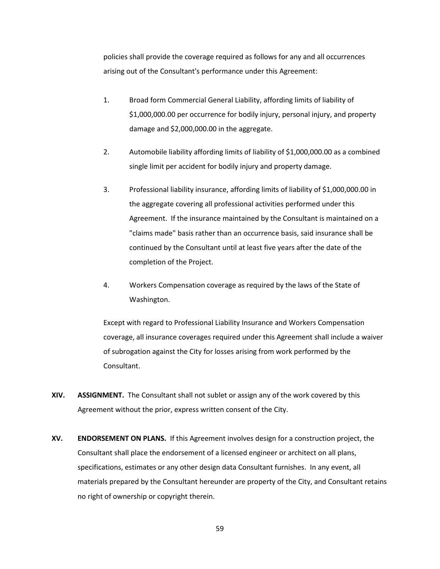policies shall provide the coverage required as follows for any and all occurrences arising out of the Consultant's performance under this Agreement:

- 1. Broad form Commercial General Liability, affording limits of liability of \$1,000,000.00 per occurrence for bodily injury, personal injury, and property damage and \$2,000,000.00 in the aggregate.
- 2. Automobile liability affording limits of liability of \$1,000,000.00 as a combined single limit per accident for bodily injury and property damage.
- 3. Professional liability insurance, affording limits of liability of \$1,000,000.00 in the aggregate covering all professional activities performed under this Agreement. If the insurance maintained by the Consultant is maintained on a "claims made" basis rather than an occurrence basis, said insurance shall be continued by the Consultant until at least five years after the date of the completion of the Project.
- 4. Workers Compensation coverage as required by the laws of the State of Washington.

Except with regard to Professional Liability Insurance and Workers Compensation coverage, all insurance coverages required under this Agreement shall include a waiver of subrogation against the City for losses arising from work performed by the Consultant.

- **XIV. ASSIGNMENT.** The Consultant shall not sublet or assign any of the work covered by this Agreement without the prior, express written consent of the City.
- **XV. ENDORSEMENT ON PLANS.** If this Agreement involves design for a construction project, the Consultant shall place the endorsement of a licensed engineer or architect on all plans, specifications, estimates or any other design data Consultant furnishes. In any event, all materials prepared by the Consultant hereunder are property of the City, and Consultant retains no right of ownership or copyright therein.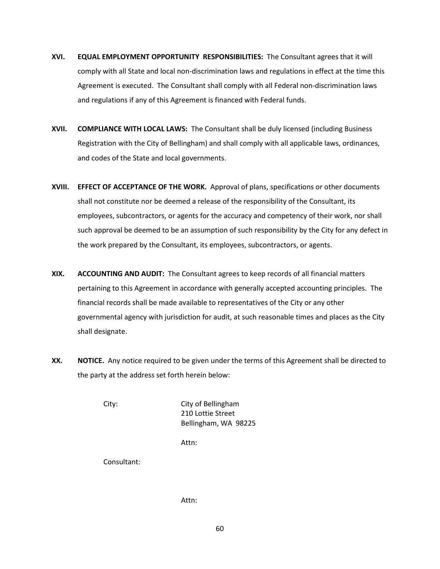- **XVI. EQUAL EMPLOYMENT OPPORTUNITY RESPONSIBILITIES:** The Consultant agrees that it will comply with all State and local non-discrimination laws and regulations in effect at the time this Agreement is executed. The Consultant shall comply with all Federal non-discrimination laws and regulations if any of this Agreement is financed with Federal funds.
- **XVII. COMPLIANCE WITH LOCAL LAWS:** The Consultant shall be duly licensed (including Business Registration with the City of Bellingham) and shall comply with all applicable laws, ordinances, and codes of the State and local governments.
- **XVIII. EFFECT OF ACCEPTANCE OF THE WORK.** Approval of plans, specifications or other documents shall not constitute nor be deemed a release of the responsibility of the Consultant, its employees, subcontractors, or agents for the accuracy and competency of their work, nor shall such approval be deemed to be an assumption of such responsibility by the City for any defect in the work prepared by the Consultant, its employees, subcontractors, or agents.
- **XIX. ACCOUNTING AND AUDIT:** The Consultant agrees to keep records of all financial matters pertaining to this Agreement in accordance with generally accepted accounting principles. The financial records shall be made available to representatives of the City or any other governmental agency with jurisdiction for audit, at such reasonable times and places as the City shall designate.
- **XX. NOTICE.** Any notice required to be given under the terms of this Agreement shall be directed to the party at the address set forth herein below:

City: City of Bellingham 210 Lottie Street Bellingham, WA 98225

Attn:

Consultant:

Attn: